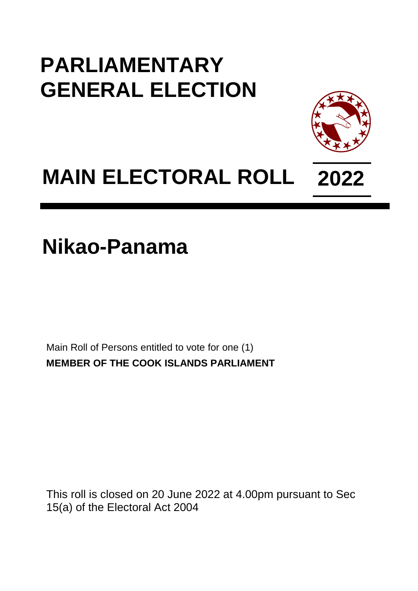## **PARLIAMENTARY GENERAL ELECTION**



## **MAIN ELECTORAL ROLL 2022**

**Nikao-Panama**

Main Roll of Persons entitled to vote for one (1) **MEMBER OF THE COOK ISLANDS PARLIAMENT**

This roll is closed on 20 June 2022 at 4.00pm pursuant to Sec 15(a) of the Electoral Act 2004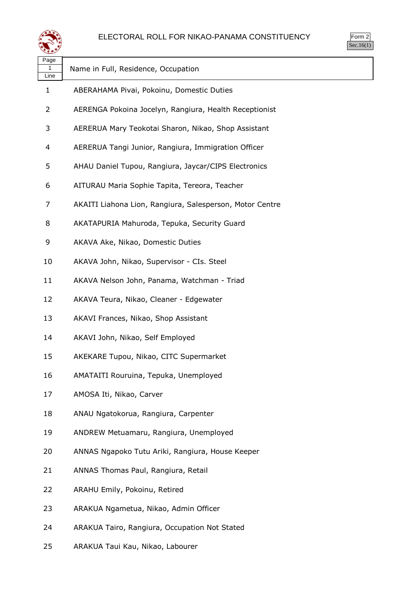

| Name in Full, Residence, Occupation                      |
|----------------------------------------------------------|
| ABERAHAMA Pivai, Pokoinu, Domestic Duties                |
| AERENGA Pokoina Jocelyn, Rangiura, Health Receptionist   |
| AERERUA Mary Teokotai Sharon, Nikao, Shop Assistant      |
| AERERUA Tangi Junior, Rangiura, Immigration Officer      |
| AHAU Daniel Tupou, Rangiura, Jaycar/CIPS Electronics     |
| AITURAU Maria Sophie Tapita, Tereora, Teacher            |
| AKAITI Liahona Lion, Rangiura, Salesperson, Motor Centre |
| AKATAPURIA Mahuroda, Tepuka, Security Guard              |
| AKAVA Ake, Nikao, Domestic Duties                        |
| AKAVA John, Nikao, Supervisor - CIs. Steel               |
| AKAVA Nelson John, Panama, Watchman - Triad              |
| AKAVA Teura, Nikao, Cleaner - Edgewater                  |
| AKAVI Frances, Nikao, Shop Assistant                     |
| AKAVI John, Nikao, Self Employed                         |
| AKEKARE Tupou, Nikao, CITC Supermarket                   |
| AMATAITI Rouruina, Tepuka, Unemployed                    |
| AMOSA Iti, Nikao, Carver                                 |
| ANAU Ngatokorua, Rangiura, Carpenter                     |
| ANDREW Metuamaru, Rangiura, Unemployed                   |
| ANNAS Ngapoko Tutu Ariki, Rangiura, House Keeper         |
| ANNAS Thomas Paul, Rangiura, Retail                      |
| ARAHU Emily, Pokoinu, Retired                            |
| ARAKUA Ngametua, Nikao, Admin Officer                    |
| ARAKUA Tairo, Rangiura, Occupation Not Stated            |
|                                                          |

ARAKUA Taui Kau, Nikao, Labourer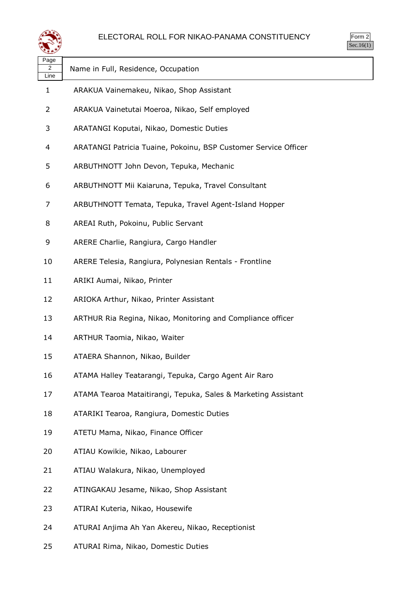

| ⋖≝≇⋗                           |                                                                 |
|--------------------------------|-----------------------------------------------------------------|
| Page<br>$\overline{2}$<br>Line | Name in Full, Residence, Occupation                             |
| 1                              | ARAKUA Vainemakeu, Nikao, Shop Assistant                        |
| 2                              | ARAKUA Vainetutai Moeroa, Nikao, Self employed                  |
| 3                              | ARATANGI Koputai, Nikao, Domestic Duties                        |
| 4                              | ARATANGI Patricia Tuaine, Pokoinu, BSP Customer Service Officer |
| 5                              | ARBUTHNOTT John Devon, Tepuka, Mechanic                         |
| 6                              | ARBUTHNOTT Mii Kaiaruna, Tepuka, Travel Consultant              |
| 7                              | ARBUTHNOTT Temata, Tepuka, Travel Agent-Island Hopper           |
| 8                              | AREAI Ruth, Pokoinu, Public Servant                             |
| 9                              | ARERE Charlie, Rangiura, Cargo Handler                          |
| 10                             | ARERE Telesia, Rangiura, Polynesian Rentals - Frontline         |
| 11                             | ARIKI Aumai, Nikao, Printer                                     |
| 12                             | ARIOKA Arthur, Nikao, Printer Assistant                         |
| 13                             | ARTHUR Ria Regina, Nikao, Monitoring and Compliance officer     |
| 14                             | ARTHUR Taomia, Nikao, Waiter                                    |
| 15                             | ATAERA Shannon, Nikao, Builder                                  |
| 16                             | ATAMA Halley Teatarangi, Tepuka, Cargo Agent Air Raro           |
| 17                             | ATAMA Tearoa Mataitirangi, Tepuka, Sales & Marketing Assistant  |
| 18                             | ATARIKI Tearoa, Rangiura, Domestic Duties                       |
| 19                             | ATETU Mama, Nikao, Finance Officer                              |
| 20                             | ATIAU Kowikie, Nikao, Labourer                                  |
| 21                             | ATIAU Walakura, Nikao, Unemployed                               |
| 22                             | ATINGAKAU Jesame, Nikao, Shop Assistant                         |
| 23                             | ATIRAI Kuteria, Nikao, Housewife                                |
| 24                             | ATURAI Anjima Ah Yan Akereu, Nikao, Receptionist                |
|                                |                                                                 |

ATURAI Rima, Nikao, Domestic Duties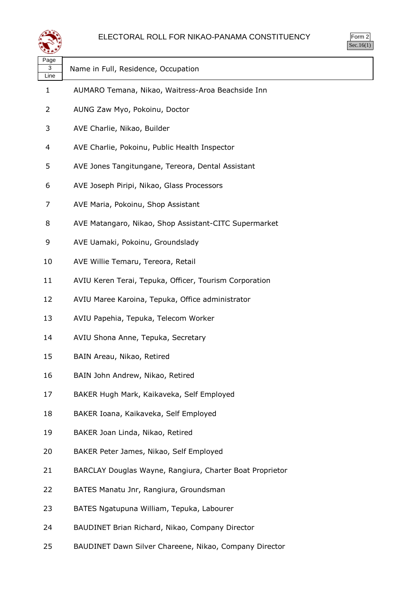

| Page<br>3 | Name in Full, Residence, Occupation                      |
|-----------|----------------------------------------------------------|
| Line      |                                                          |
| 1         | AUMARO Temana, Nikao, Waitress-Aroa Beachside Inn        |
| 2         | AUNG Zaw Myo, Pokoinu, Doctor                            |
| 3         | AVE Charlie, Nikao, Builder                              |
| 4         | AVE Charlie, Pokoinu, Public Health Inspector            |
| 5         | AVE Jones Tangitungane, Tereora, Dental Assistant        |
| 6         | AVE Joseph Piripi, Nikao, Glass Processors               |
| 7         | AVE Maria, Pokoinu, Shop Assistant                       |
| 8         | AVE Matangaro, Nikao, Shop Assistant-CITC Supermarket    |
| 9         | AVE Uamaki, Pokoinu, Groundslady                         |
| 10        | AVE Willie Temaru, Tereora, Retail                       |
| 11        | AVIU Keren Terai, Tepuka, Officer, Tourism Corporation   |
| 12        | AVIU Maree Karoina, Tepuka, Office administrator         |
| 13        | AVIU Papehia, Tepuka, Telecom Worker                     |
| 14        | AVIU Shona Anne, Tepuka, Secretary                       |
| 15        | BAIN Areau, Nikao, Retired                               |
| 16        | BAIN John Andrew, Nikao, Retired                         |
| 17        | BAKER Hugh Mark, Kaikaveka, Self Employed                |
| 18        | BAKER Ioana, Kaikaveka, Self Employed                    |
| 19        | BAKER Joan Linda, Nikao, Retired                         |
| 20        | BAKER Peter James, Nikao, Self Employed                  |
| 21        | BARCLAY Douglas Wayne, Rangiura, Charter Boat Proprietor |
| 22        | BATES Manatu Jnr, Rangiura, Groundsman                   |
| 23        | BATES Ngatupuna William, Tepuka, Labourer                |
| 24        | BAUDINET Brian Richard, Nikao, Company Director          |

BAUDINET Dawn Silver Chareene, Nikao, Company Director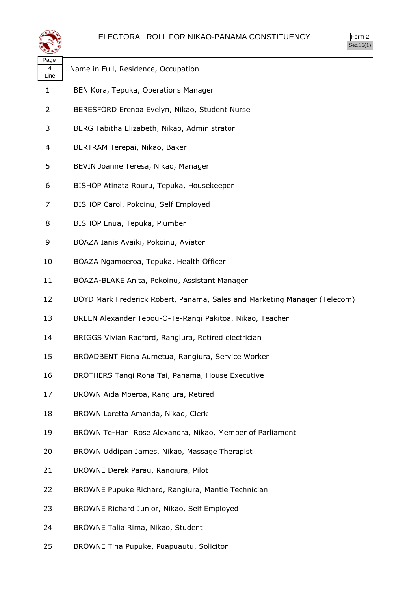

| $rac{1}{2}$<br>╯ |  |
|------------------|--|
| ۰                |  |

| Page<br>4<br>Line | Name in Full, Residence, Occupation                                       |
|-------------------|---------------------------------------------------------------------------|
| $\mathbf{1}$      | BEN Kora, Tepuka, Operations Manager                                      |
| 2                 | BERESFORD Erenoa Evelyn, Nikao, Student Nurse                             |
| 3                 | BERG Tabitha Elizabeth, Nikao, Administrator                              |
| 4                 | BERTRAM Terepai, Nikao, Baker                                             |
| 5                 | BEVIN Joanne Teresa, Nikao, Manager                                       |
| 6                 | BISHOP Atinata Rouru, Tepuka, Housekeeper                                 |
| 7                 | BISHOP Carol, Pokoinu, Self Employed                                      |
| 8                 | BISHOP Enua, Tepuka, Plumber                                              |
| 9                 | BOAZA Ianis Avaiki, Pokoinu, Aviator                                      |
| 10                | BOAZA Ngamoeroa, Tepuka, Health Officer                                   |
| 11                | BOAZA-BLAKE Anita, Pokoinu, Assistant Manager                             |
| 12                | BOYD Mark Frederick Robert, Panama, Sales and Marketing Manager (Telecom) |
| 13                | BREEN Alexander Tepou-O-Te-Rangi Pakitoa, Nikao, Teacher                  |
| 14                | BRIGGS Vivian Radford, Rangiura, Retired electrician                      |
| 15                | BROADBENT Fiona Aumetua, Rangiura, Service Worker                         |
| 16                | BROTHERS Tangi Rona Tai, Panama, House Executive                          |
| 17                | BROWN Aida Moeroa, Rangiura, Retired                                      |
| 18                | BROWN Loretta Amanda, Nikao, Clerk                                        |
| 19                | BROWN Te-Hani Rose Alexandra, Nikao, Member of Parliament                 |
| 20                | BROWN Uddipan James, Nikao, Massage Therapist                             |
| 21                | BROWNE Derek Parau, Rangiura, Pilot                                       |
| 22                | BROWNE Pupuke Richard, Rangiura, Mantle Technician                        |
| 23                | BROWNE Richard Junior, Nikao, Self Employed                               |
| 24                | BROWNE Talia Rima, Nikao, Student                                         |
| 25                | BROWNE Tina Pupuke, Puapuautu, Solicitor                                  |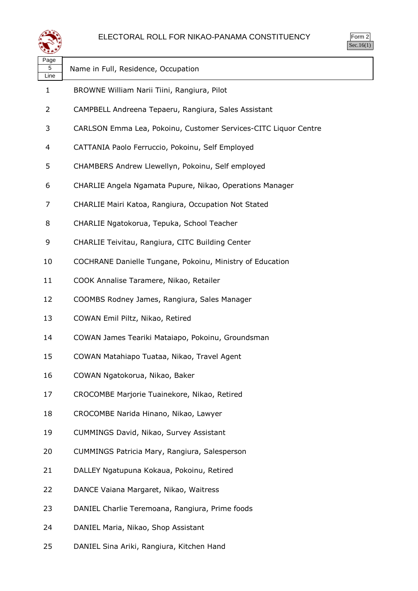

| Page<br>5<br>Line | Name in Full, Residence, Occupation                             |
|-------------------|-----------------------------------------------------------------|
| 1                 | BROWNE William Narii Tiini, Rangiura, Pilot                     |
| 2                 | CAMPBELL Andreena Tepaeru, Rangiura, Sales Assistant            |
| 3                 | CARLSON Emma Lea, Pokoinu, Customer Services-CITC Liquor Centre |
| 4                 | CATTANIA Paolo Ferruccio, Pokoinu, Self Employed                |
| 5                 | CHAMBERS Andrew Llewellyn, Pokoinu, Self employed               |
| 6                 | CHARLIE Angela Ngamata Pupure, Nikao, Operations Manager        |
| 7                 | CHARLIE Mairi Katoa, Rangiura, Occupation Not Stated            |
| 8                 | CHARLIE Ngatokorua, Tepuka, School Teacher                      |
| 9                 | CHARLIE Teivitau, Rangiura, CITC Building Center                |
| 10                | COCHRANE Danielle Tungane, Pokoinu, Ministry of Education       |
| 11                | COOK Annalise Taramere, Nikao, Retailer                         |
| 12                | COOMBS Rodney James, Rangiura, Sales Manager                    |
| 13                | COWAN Emil Piltz, Nikao, Retired                                |
| 14                | COWAN James Teariki Mataiapo, Pokoinu, Groundsman               |
| 15                | COWAN Matahiapo Tuataa, Nikao, Travel Agent                     |
| 16                | COWAN Ngatokorua, Nikao, Baker                                  |
| 17                | CROCOMBE Marjorie Tuainekore, Nikao, Retired                    |
| 18                | CROCOMBE Narida Hinano, Nikao, Lawyer                           |
| 19                | CUMMINGS David, Nikao, Survey Assistant                         |
| 20                | CUMMINGS Patricia Mary, Rangiura, Salesperson                   |
| 21                | DALLEY Ngatupuna Kokaua, Pokoinu, Retired                       |
| 22                | DANCE Vaiana Margaret, Nikao, Waitress                          |
| 23                | DANIEL Charlie Teremoana, Rangiura, Prime foods                 |
| 24                | DANIEL Maria, Nikao, Shop Assistant                             |
| 25                | DANIEL Sina Ariki, Rangiura, Kitchen Hand                       |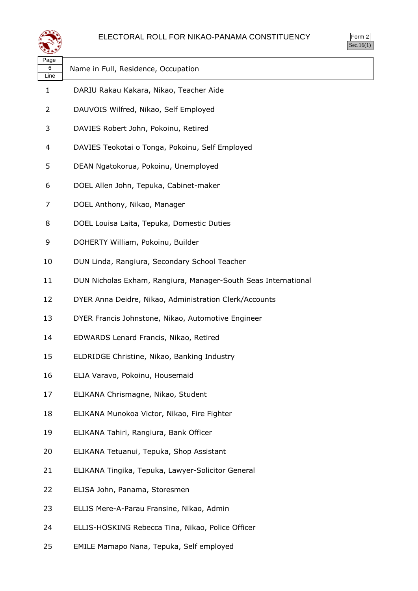



| マモチン              |                                                                |
|-------------------|----------------------------------------------------------------|
| Page<br>6<br>Line | Name in Full, Residence, Occupation                            |
| 1                 | DARIU Rakau Kakara, Nikao, Teacher Aide                        |
| 2                 | DAUVOIS Wilfred, Nikao, Self Employed                          |
| 3                 | DAVIES Robert John, Pokoinu, Retired                           |
| 4                 | DAVIES Teokotai o Tonga, Pokoinu, Self Employed                |
| 5                 | DEAN Ngatokorua, Pokoinu, Unemployed                           |
| 6                 | DOEL Allen John, Tepuka, Cabinet-maker                         |
| 7                 | DOEL Anthony, Nikao, Manager                                   |
| 8                 | DOEL Louisa Laita, Tepuka, Domestic Duties                     |
| 9                 | DOHERTY William, Pokoinu, Builder                              |
| 10                | DUN Linda, Rangiura, Secondary School Teacher                  |
| 11                | DUN Nicholas Exham, Rangiura, Manager-South Seas International |
| 12                | DYER Anna Deidre, Nikao, Administration Clerk/Accounts         |
| 13                | DYER Francis Johnstone, Nikao, Automotive Engineer             |
| 14                | EDWARDS Lenard Francis, Nikao, Retired                         |
| 15                | ELDRIDGE Christine, Nikao, Banking Industry                    |
| 16                | ELIA Varavo, Pokoinu, Housemaid                                |
| 17                | ELIKANA Chrismagne, Nikao, Student                             |
| 18                | ELIKANA Munokoa Victor, Nikao, Fire Fighter                    |
| 19                | ELIKANA Tahiri, Rangiura, Bank Officer                         |
| 20                | ELIKANA Tetuanui, Tepuka, Shop Assistant                       |
| 21                | ELIKANA Tingika, Tepuka, Lawyer-Solicitor General              |
| 22                | ELISA John, Panama, Storesmen                                  |
| 23                | ELLIS Mere-A-Parau Fransine, Nikao, Admin                      |
| 24                | ELLIS-HOSKING Rebecca Tina, Nikao, Police Officer              |
|                   |                                                                |

EMILE Mamapo Nana, Tepuka, Self employed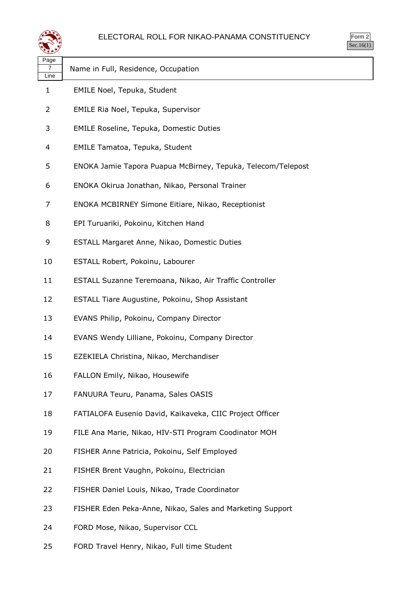

| Page<br>7<br>Line | Name in Full, Residence, Occupation                          |
|-------------------|--------------------------------------------------------------|
| 1                 | EMILE Noel, Tepuka, Student                                  |
| 2                 | EMILE Ria Noel, Tepuka, Supervisor                           |
| 3                 | <b>EMILE Roseline, Tepuka, Domestic Duties</b>               |
| 4                 | EMILE Tamatoa, Tepuka, Student                               |
| 5                 | ENOKA Jamie Tapora Puapua McBirney, Tepuka, Telecom/Telepost |
| 6                 | ENOKA Okirua Jonathan, Nikao, Personal Trainer               |
| 7                 | ENOKA MCBIRNEY Simone Eitiare, Nikao, Receptionist           |
| 8                 | EPI Turuariki, Pokoinu, Kitchen Hand                         |
| 9                 | ESTALL Margaret Anne, Nikao, Domestic Duties                 |
| 10                | ESTALL Robert, Pokoinu, Labourer                             |
| 11                | ESTALL Suzanne Teremoana, Nikao, Air Traffic Controller      |
| 12                | ESTALL Tiare Augustine, Pokoinu, Shop Assistant              |
| 13                | EVANS Philip, Pokoinu, Company Director                      |
| 14                | EVANS Wendy Lilliane, Pokoinu, Company Director              |
| 15                | EZEKIELA Christina, Nikao, Merchandiser                      |
| 16                | FALLON Emily, Nikao, Housewife                               |
| 17                | FANUURA Teuru, Panama, Sales OASIS                           |
| 18                | FATIALOFA Eusenio David, Kaikaveka, CIIC Project Officer     |
| 19                | FILE Ana Marie, Nikao, HIV-STI Program Coodinator MOH        |
| 20                | FISHER Anne Patricia, Pokoinu, Self Employed                 |
| 21                | FISHER Brent Vaughn, Pokoinu, Electrician                    |
| 22                | FISHER Daniel Louis, Nikao, Trade Coordinator                |
| 23                | FISHER Eden Peka-Anne, Nikao, Sales and Marketing Support    |
| 24                | FORD Mose, Nikao, Supervisor CCL                             |

FORD Travel Henry, Nikao, Full time Student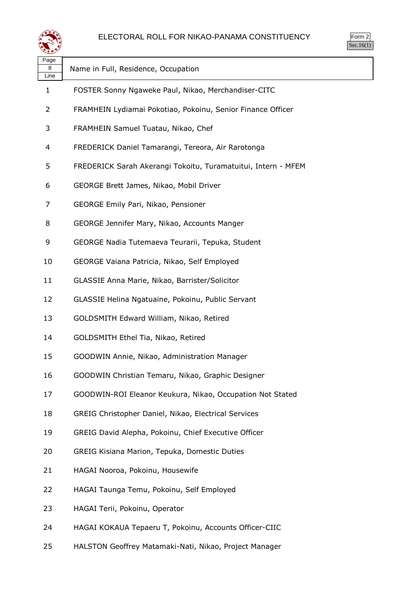

| Page<br>8<br>Line | Name in Full, Residence, Occupation                           |
|-------------------|---------------------------------------------------------------|
| 1                 | FOSTER Sonny Ngaweke Paul, Nikao, Merchandiser-CITC           |
| 2                 | FRAMHEIN Lydiamai Pokotiao, Pokoinu, Senior Finance Officer   |
| 3                 | FRAMHEIN Samuel Tuatau, Nikao, Chef                           |
| 4                 | FREDERICK Daniel Tamarangi, Tereora, Air Rarotonga            |
| 5                 | FREDERICK Sarah Akerangi Tokoitu, Turamatuitui, Intern - MFEM |
| 6                 | GEORGE Brett James, Nikao, Mobil Driver                       |
| 7                 | GEORGE Emily Pari, Nikao, Pensioner                           |
| 8                 | GEORGE Jennifer Mary, Nikao, Accounts Manger                  |
| 9                 | GEORGE Nadia Tutemaeva Teurarii, Tepuka, Student              |
| 10                | GEORGE Vaiana Patricia, Nikao, Self Employed                  |
| 11                | GLASSIE Anna Marie, Nikao, Barrister/Solicitor                |
| 12                | GLASSIE Helina Ngatuaine, Pokoinu, Public Servant             |
| 13                | GOLDSMITH Edward William, Nikao, Retired                      |
| 14                | GOLDSMITH Ethel Tia, Nikao, Retired                           |
| 15                | GOODWIN Annie, Nikao, Administration Manager                  |
| 16                | GOODWIN Christian Temaru, Nikao, Graphic Designer             |
| 17                | GOODWIN-ROI Eleanor Keukura, Nikao, Occupation Not Stated     |
| 18                | GREIG Christopher Daniel, Nikao, Electrical Services          |
| 19                | GREIG David Alepha, Pokoinu, Chief Executive Officer          |
| 20                | GREIG Kisiana Marion, Tepuka, Domestic Duties                 |
| 21                | HAGAI Nooroa, Pokoinu, Housewife                              |
| 22                | HAGAI Taunga Temu, Pokoinu, Self Employed                     |
| 23                | HAGAI Terii, Pokoinu, Operator                                |
| 24                | HAGAI KOKAUA Tepaeru T, Pokoinu, Accounts Officer-CIIC        |
|                   |                                                               |

HALSTON Geoffrey Matamaki-Nati, Nikao, Project Manager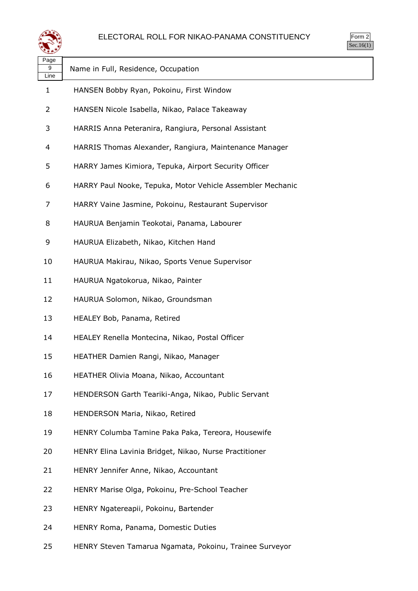

| 25  |  |
|-----|--|
| ٠ ا |  |

| Page<br>9<br>Line | Name in Full, Residence, Occupation                        |
|-------------------|------------------------------------------------------------|
| 1                 | HANSEN Bobby Ryan, Pokoinu, First Window                   |
| 2                 | HANSEN Nicole Isabella, Nikao, Palace Takeaway             |
| 3                 | HARRIS Anna Peteranira, Rangiura, Personal Assistant       |
| 4                 | HARRIS Thomas Alexander, Rangiura, Maintenance Manager     |
| 5                 | HARRY James Kimiora, Tepuka, Airport Security Officer      |
| 6                 | HARRY Paul Nooke, Tepuka, Motor Vehicle Assembler Mechanic |
| 7                 | HARRY Vaine Jasmine, Pokoinu, Restaurant Supervisor        |
| 8                 | HAURUA Benjamin Teokotai, Panama, Labourer                 |
| 9                 | HAURUA Elizabeth, Nikao, Kitchen Hand                      |
| 10                | HAURUA Makirau, Nikao, Sports Venue Supervisor             |
| 11                | HAURUA Ngatokorua, Nikao, Painter                          |
| 12                | HAURUA Solomon, Nikao, Groundsman                          |
| 13                | HEALEY Bob, Panama, Retired                                |
| 14                | HEALEY Renella Montecina, Nikao, Postal Officer            |
| 15                | HEATHER Damien Rangi, Nikao, Manager                       |
| 16                | HEATHER Olivia Moana, Nikao, Accountant                    |
| 17                | HENDERSON Garth Teariki-Anga, Nikao, Public Servant        |
| 18                | HENDERSON Maria, Nikao, Retired                            |
| 19                | HENRY Columba Tamine Paka Paka, Tereora, Housewife         |
| 20                | HENRY Elina Lavinia Bridget, Nikao, Nurse Practitioner     |
| 21                | HENRY Jennifer Anne, Nikao, Accountant                     |
| 22                | HENRY Marise Olga, Pokoinu, Pre-School Teacher             |
| 23                | HENRY Ngatereapii, Pokoinu, Bartender                      |
| 24                | HENRY Roma, Panama, Domestic Duties                        |
|                   |                                                            |

HENRY Steven Tamarua Ngamata, Pokoinu, Trainee Surveyor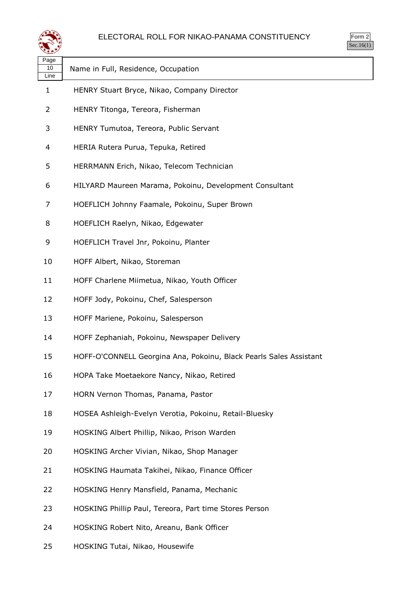



| Page I |                                        |
|--------|----------------------------------------|
|        | 10 Name in Full, Residence, Occupation |
| Line   |                                        |

- HENRY Stuart Bryce, Nikao, Company Director
- HENRY Titonga, Tereora, Fisherman
- HENRY Tumutoa, Tereora, Public Servant
- HERIA Rutera Purua, Tepuka, Retired
- HERRMANN Erich, Nikao, Telecom Technician
- HILYARD Maureen Marama, Pokoinu, Development Consultant
- HOEFLICH Johnny Faamale, Pokoinu, Super Brown
- HOEFLICH Raelyn, Nikao, Edgewater
- HOEFLICH Travel Jnr, Pokoinu, Planter
- HOFF Albert, Nikao, Storeman
- HOFF Charlene Miimetua, Nikao, Youth Officer
- HOFF Jody, Pokoinu, Chef, Salesperson
- HOFF Mariene, Pokoinu, Salesperson
- HOFF Zephaniah, Pokoinu, Newspaper Delivery
- HOFF-O'CONNELL Georgina Ana, Pokoinu, Black Pearls Sales Assistant
- HOPA Take Moetaekore Nancy, Nikao, Retired
- HORN Vernon Thomas, Panama, Pastor
- HOSEA Ashleigh-Evelyn Verotia, Pokoinu, Retail-Bluesky
- HOSKING Albert Phillip, Nikao, Prison Warden
- HOSKING Archer Vivian, Nikao, Shop Manager
- HOSKING Haumata Takihei, Nikao, Finance Officer
- HOSKING Henry Mansfield, Panama, Mechanic
- HOSKING Phillip Paul, Tereora, Part time Stores Person
- HOSKING Robert Nito, Areanu, Bank Officer
- HOSKING Tutai, Nikao, Housewife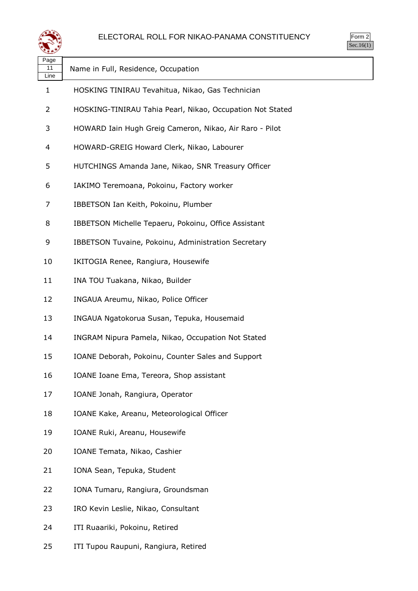

Form 2  $\overline{\text{Sec.16}(1)}$ 

| Page<br>11<br>Line | Name in Full, Residence, Occupation                       |
|--------------------|-----------------------------------------------------------|
| 1                  | HOSKING TINIRAU Tevahitua, Nikao, Gas Technician          |
| 2                  | HOSKING-TINIRAU Tahia Pearl, Nikao, Occupation Not Stated |
| 3                  | HOWARD Iain Hugh Greig Cameron, Nikao, Air Raro - Pilot   |
| 4                  | HOWARD-GREIG Howard Clerk, Nikao, Labourer                |
| 5                  | HUTCHINGS Amanda Jane, Nikao, SNR Treasury Officer        |
| 6                  | IAKIMO Teremoana, Pokoinu, Factory worker                 |
| 7                  | IBBETSON Ian Keith, Pokoinu, Plumber                      |
| 8                  | IBBETSON Michelle Tepaeru, Pokoinu, Office Assistant      |
| 9                  | IBBETSON Tuvaine, Pokoinu, Administration Secretary       |
| 10                 | IKITOGIA Renee, Rangiura, Housewife                       |
| 11                 | INA TOU Tuakana, Nikao, Builder                           |
| 12                 | INGAUA Areumu, Nikao, Police Officer                      |
| 13                 | INGAUA Ngatokorua Susan, Tepuka, Housemaid                |
| 14                 | INGRAM Nipura Pamela, Nikao, Occupation Not Stated        |
| 15                 | IOANE Deborah, Pokoinu, Counter Sales and Support         |
| 16                 | IOANE Ioane Ema, Tereora, Shop assistant                  |
| 17                 | IOANE Jonah, Rangiura, Operator                           |
| 18                 | IOANE Kake, Areanu, Meteorological Officer                |
| 19                 | IOANE Ruki, Areanu, Housewife                             |
| 20                 | IOANE Temata, Nikao, Cashier                              |
| 21                 | IONA Sean, Tepuka, Student                                |
| 22                 | IONA Tumaru, Rangiura, Groundsman                         |
| 23                 | IRO Kevin Leslie, Nikao, Consultant                       |
| 24                 | ITI Ruaariki, Pokoinu, Retired                            |
|                    |                                                           |

ITI Tupou Raupuni, Rangiura, Retired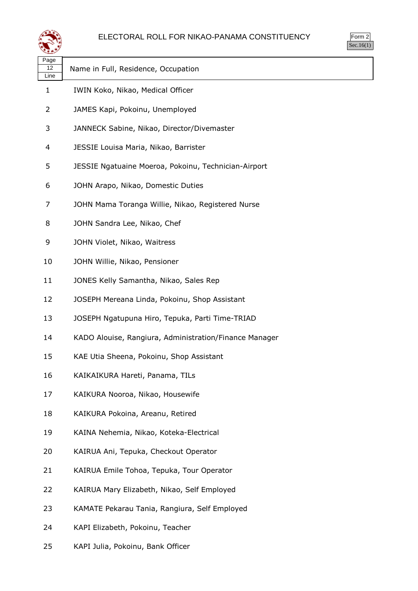

| $rac{1}{2}$<br>╯ |  |
|------------------|--|
| ۰                |  |

| Page<br>12<br>Line | Name in Full, Residence, Occupation                    |  |
|--------------------|--------------------------------------------------------|--|
| $\mathbf{1}$       | IWIN Koko, Nikao, Medical Officer                      |  |
| 2                  | JAMES Kapi, Pokoinu, Unemployed                        |  |
| 3                  | JANNECK Sabine, Nikao, Director/Divemaster             |  |
| 4                  | JESSIE Louisa Maria, Nikao, Barrister                  |  |
| 5                  | JESSIE Ngatuaine Moeroa, Pokoinu, Technician-Airport   |  |
| 6                  | JOHN Arapo, Nikao, Domestic Duties                     |  |
| 7                  | JOHN Mama Toranga Willie, Nikao, Registered Nurse      |  |
| 8                  | JOHN Sandra Lee, Nikao, Chef                           |  |
| 9                  | JOHN Violet, Nikao, Waitress                           |  |
| 10                 | JOHN Willie, Nikao, Pensioner                          |  |
| 11                 | JONES Kelly Samantha, Nikao, Sales Rep                 |  |
| 12                 | JOSEPH Mereana Linda, Pokoinu, Shop Assistant          |  |
| 13                 | JOSEPH Ngatupuna Hiro, Tepuka, Parti Time-TRIAD        |  |
| 14                 | KADO Alouise, Rangiura, Administration/Finance Manager |  |
| 15                 | KAE Utia Sheena, Pokoinu, Shop Assistant               |  |
| 16                 | KAIKAIKURA Hareti, Panama, TILs                        |  |
| 17                 | KAIKURA Nooroa, Nikao, Housewife                       |  |
| 18                 | KAIKURA Pokoina, Areanu, Retired                       |  |
| 19                 | KAINA Nehemia, Nikao, Koteka-Electrical                |  |
| 20                 | KAIRUA Ani, Tepuka, Checkout Operator                  |  |
| 21                 | KAIRUA Emile Tohoa, Tepuka, Tour Operator              |  |
| 22                 | KAIRUA Mary Elizabeth, Nikao, Self Employed            |  |
| 23                 | KAMATE Pekarau Tania, Rangiura, Self Employed          |  |
| 24                 | KAPI Elizabeth, Pokoinu, Teacher                       |  |

KAPI Julia, Pokoinu, Bank Officer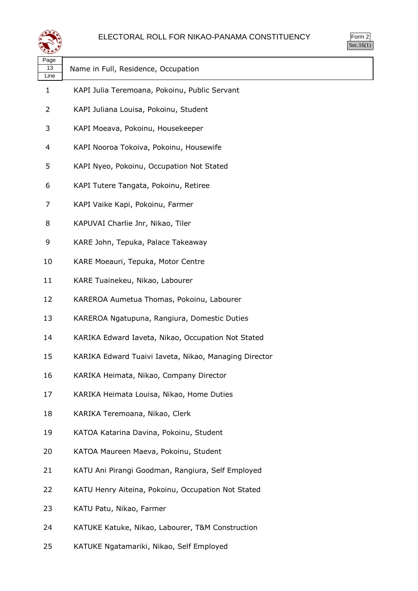



| Page<br>13<br>Line | Name in Full, Residence, Occupation                   |
|--------------------|-------------------------------------------------------|
| 1                  | KAPI Julia Teremoana, Pokoinu, Public Servant         |
| 2                  | KAPI Juliana Louisa, Pokoinu, Student                 |
| 3                  | KAPI Moeava, Pokoinu, Housekeeper                     |
| 4                  | KAPI Nooroa Tokoiva, Pokoinu, Housewife               |
| 5                  | KAPI Nyeo, Pokoinu, Occupation Not Stated             |
| 6                  | KAPI Tutere Tangata, Pokoinu, Retiree                 |
| 7                  | KAPI Vaike Kapi, Pokoinu, Farmer                      |
| 8                  | KAPUVAI Charlie Jnr, Nikao, Tiler                     |
| 9                  | KARE John, Tepuka, Palace Takeaway                    |
| 10                 | KARE Moeauri, Tepuka, Motor Centre                    |
| 11                 | KARE Tuainekeu, Nikao, Labourer                       |
| 12                 | KAREROA Aumetua Thomas, Pokoinu, Labourer             |
| 13                 | KAREROA Ngatupuna, Rangiura, Domestic Duties          |
| 14                 | KARIKA Edward Iaveta, Nikao, Occupation Not Stated    |
| 15                 | KARIKA Edward Tuaivi Iaveta, Nikao, Managing Director |
| 16                 | KARIKA Heimata, Nikao, Company Director               |
| 17                 | KARIKA Heimata Louisa, Nikao, Home Duties             |
| 18                 | KARIKA Teremoana, Nikao, Clerk                        |
| 19                 | KATOA Katarina Davina, Pokoinu, Student               |
| 20                 | KATOA Maureen Maeva, Pokoinu, Student                 |
| 21                 | KATU Ani Pirangi Goodman, Rangiura, Self Employed     |
| 22                 | KATU Henry Aiteina, Pokoinu, Occupation Not Stated    |
| 23                 | KATU Patu, Nikao, Farmer                              |
| 24                 | KATUKE Katuke, Nikao, Labourer, T&M Construction      |

KATUKE Ngatamariki, Nikao, Self Employed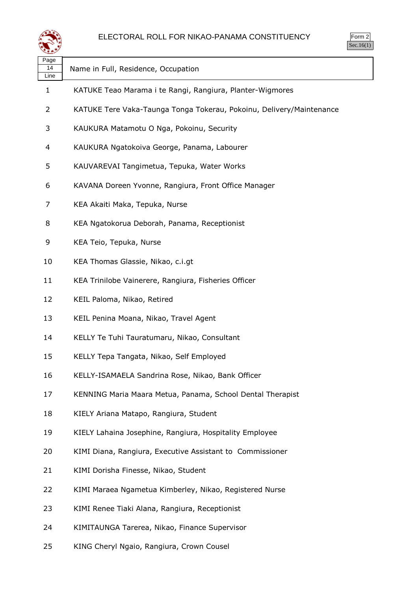

| Page<br>14<br>Line | Name in Full, Residence, Occupation                                  |
|--------------------|----------------------------------------------------------------------|
| 1                  | KATUKE Teao Marama i te Rangi, Rangiura, Planter-Wigmores            |
| 2                  | KATUKE Tere Vaka-Taunga Tonga Tokerau, Pokoinu, Delivery/Maintenance |
| 3                  | KAUKURA Matamotu O Nga, Pokoinu, Security                            |
| 4                  | KAUKURA Ngatokoiva George, Panama, Labourer                          |
| 5                  | KAUVAREVAI Tangimetua, Tepuka, Water Works                           |
| 6                  | KAVANA Doreen Yvonne, Rangiura, Front Office Manager                 |
| 7                  | KEA Akaiti Maka, Tepuka, Nurse                                       |
| 8                  | KEA Ngatokorua Deborah, Panama, Receptionist                         |
| 9                  | KEA Teio, Tepuka, Nurse                                              |
| 10                 | KEA Thomas Glassie, Nikao, c.i.gt                                    |
| 11                 | KEA Trinilobe Vainerere, Rangiura, Fisheries Officer                 |
| 12                 | KEIL Paloma, Nikao, Retired                                          |
| 13                 | KEIL Penina Moana, Nikao, Travel Agent                               |
| 14                 | KELLY Te Tuhi Tauratumaru, Nikao, Consultant                         |
| 15                 | KELLY Tepa Tangata, Nikao, Self Employed                             |
| 16                 | KELLY-ISAMAELA Sandrina Rose, Nikao, Bank Officer                    |
| 17                 | KENNING Maria Maara Metua, Panama, School Dental Therapist           |
| 18                 | KIELY Ariana Matapo, Rangiura, Student                               |
| 19                 | KIELY Lahaina Josephine, Rangiura, Hospitality Employee              |
| 20                 | KIMI Diana, Rangiura, Executive Assistant to Commissioner            |
| 21                 | KIMI Dorisha Finesse, Nikao, Student                                 |
| 22                 | KIMI Maraea Ngametua Kimberley, Nikao, Registered Nurse              |
| 23                 | KIMI Renee Tiaki Alana, Rangiura, Receptionist                       |
| 24                 | KIMITAUNGA Tarerea, Nikao, Finance Supervisor                        |
| 25                 | KING Cheryl Ngaio, Rangiura, Crown Cousel                            |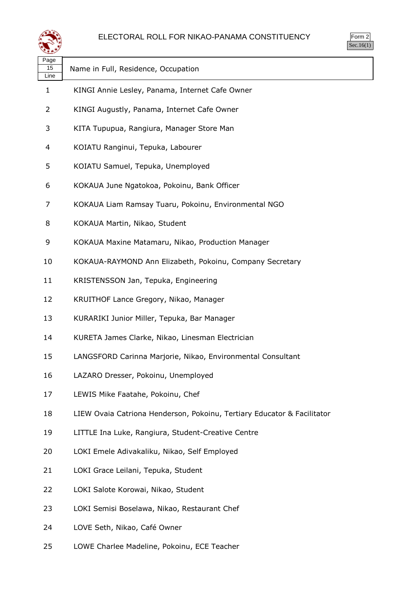



| Page<br>15<br>Line | Name in Full, Residence, Occupation                                     |
|--------------------|-------------------------------------------------------------------------|
| 1                  | KINGI Annie Lesley, Panama, Internet Cafe Owner                         |
| 2                  | KINGI Augustly, Panama, Internet Cafe Owner                             |
| 3                  | KITA Tupupua, Rangiura, Manager Store Man                               |
| 4                  | KOIATU Ranginui, Tepuka, Labourer                                       |
| 5                  | KOIATU Samuel, Tepuka, Unemployed                                       |
| 6                  | KOKAUA June Ngatokoa, Pokoinu, Bank Officer                             |
| 7                  | KOKAUA Liam Ramsay Tuaru, Pokoinu, Environmental NGO                    |
| 8                  | KOKAUA Martin, Nikao, Student                                           |
| 9                  | KOKAUA Maxine Matamaru, Nikao, Production Manager                       |
| 10                 | KOKAUA-RAYMOND Ann Elizabeth, Pokoinu, Company Secretary                |
| 11                 | KRISTENSSON Jan, Tepuka, Engineering                                    |
| 12                 | KRUITHOF Lance Gregory, Nikao, Manager                                  |
| 13                 | KURARIKI Junior Miller, Tepuka, Bar Manager                             |
| 14                 | KURETA James Clarke, Nikao, Linesman Electrician                        |
| 15                 | LANGSFORD Carinna Marjorie, Nikao, Environmental Consultant             |
| 16                 | LAZARO Dresser, Pokoinu, Unemployed                                     |
| 17                 | LEWIS Mike Faatahe, Pokoinu, Chef                                       |
| 18                 | LIEW Ovaia Catriona Henderson, Pokoinu, Tertiary Educator & Facilitator |
| 19                 | LITTLE Ina Luke, Rangiura, Student-Creative Centre                      |
| 20                 | LOKI Emele Adivakaliku, Nikao, Self Employed                            |
| 21                 | LOKI Grace Leilani, Tepuka, Student                                     |
| 22                 | LOKI Salote Korowai, Nikao, Student                                     |
| 23                 | LOKI Semisi Boselawa, Nikao, Restaurant Chef                            |
| 24                 | LOVE Seth, Nikao, Café Owner                                            |
|                    |                                                                         |

LOWE Charlee Madeline, Pokoinu, ECE Teacher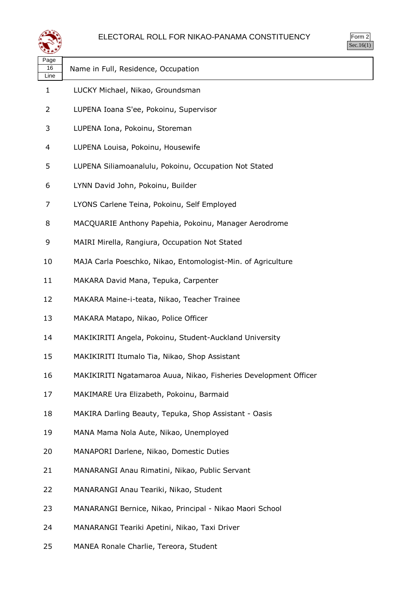

| <sub>)</sub> rm<br>╯ |
|----------------------|
|                      |

| Page<br>16<br>Line | Name in Full, Residence, Occupation                              |
|--------------------|------------------------------------------------------------------|
| 1                  | LUCKY Michael, Nikao, Groundsman                                 |
| 2                  | LUPENA Ioana S'ee, Pokoinu, Supervisor                           |
| 3                  | LUPENA Iona, Pokoinu, Storeman                                   |
| 4                  | LUPENA Louisa, Pokoinu, Housewife                                |
| 5                  | LUPENA Siliamoanalulu, Pokoinu, Occupation Not Stated            |
| 6                  | LYNN David John, Pokoinu, Builder                                |
| 7                  | LYONS Carlene Teina, Pokoinu, Self Employed                      |
| 8                  | MACQUARIE Anthony Papehia, Pokoinu, Manager Aerodrome            |
| 9                  | MAIRI Mirella, Rangiura, Occupation Not Stated                   |
| 10                 | MAJA Carla Poeschko, Nikao, Entomologist-Min. of Agriculture     |
| 11                 | MAKARA David Mana, Tepuka, Carpenter                             |
| 12                 | MAKARA Maine-i-teata, Nikao, Teacher Trainee                     |
| 13                 | MAKARA Matapo, Nikao, Police Officer                             |
| 14                 | MAKIKIRITI Angela, Pokoinu, Student-Auckland University          |
| 15                 | MAKIKIRITI Itumalo Tia, Nikao, Shop Assistant                    |
| 16                 | MAKIKIRITI Ngatamaroa Auua, Nikao, Fisheries Development Officer |
| 17                 | MAKIMARE Ura Elizabeth, Pokoinu, Barmaid                         |
| 18                 | MAKIRA Darling Beauty, Tepuka, Shop Assistant - Oasis            |
| 19                 | MANA Mama Nola Aute, Nikao, Unemployed                           |
| 20                 | MANAPORI Darlene, Nikao, Domestic Duties                         |
| 21                 | MANARANGI Anau Rimatini, Nikao, Public Servant                   |
| 22                 | MANARANGI Anau Teariki, Nikao, Student                           |
| 23                 | MANARANGI Bernice, Nikao, Principal - Nikao Maori School         |
| 24                 | MANARANGI Teariki Apetini, Nikao, Taxi Driver                    |

MANEA Ronale Charlie, Tereora, Student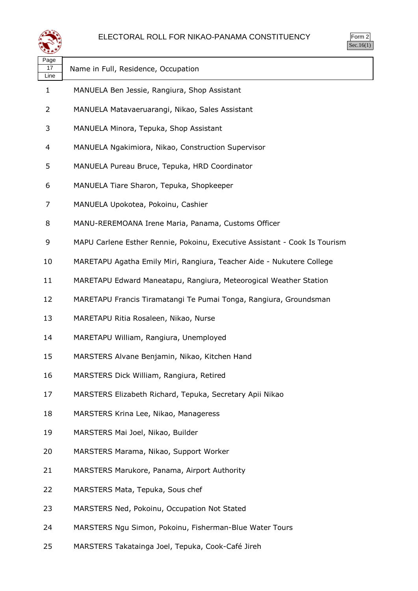

|  | n.<br>rr<br>٠ |  |
|--|---------------|--|
|  |               |  |

| Page<br>17<br>Line | Name in Full, Residence, Occupation                                        |
|--------------------|----------------------------------------------------------------------------|
| $\mathbf{1}$       | MANUELA Ben Jessie, Rangiura, Shop Assistant                               |
| 2                  | MANUELA Matavaeruarangi, Nikao, Sales Assistant                            |
| 3                  | MANUELA Minora, Tepuka, Shop Assistant                                     |
| 4                  | MANUELA Ngakimiora, Nikao, Construction Supervisor                         |
| 5                  | MANUELA Pureau Bruce, Tepuka, HRD Coordinator                              |
| 6                  | MANUELA Tiare Sharon, Tepuka, Shopkeeper                                   |
| 7                  | MANUELA Upokotea, Pokoinu, Cashier                                         |
| 8                  | MANU-REREMOANA Irene Maria, Panama, Customs Officer                        |
| 9                  | MAPU Carlene Esther Rennie, Pokoinu, Executive Assistant - Cook Is Tourism |
| 10                 | MARETAPU Agatha Emily Miri, Rangiura, Teacher Aide - Nukutere College      |
| 11                 | MARETAPU Edward Maneatapu, Rangiura, Meteorogical Weather Station          |
| 12                 | MARETAPU Francis Tiramatangi Te Pumai Tonga, Rangiura, Groundsman          |
| 13                 | MARETAPU Ritia Rosaleen, Nikao, Nurse                                      |
| 14                 | MARETAPU William, Rangiura, Unemployed                                     |
| 15                 | MARSTERS Alvane Benjamin, Nikao, Kitchen Hand                              |
| 16                 | MARSTERS Dick William, Rangiura, Retired                                   |
| 17                 | MARSTERS Elizabeth Richard, Tepuka, Secretary Apii Nikao                   |
| 18                 | MARSTERS Krina Lee, Nikao, Manageress                                      |
| 19                 | MARSTERS Mai Joel, Nikao, Builder                                          |
| 20                 | MARSTERS Marama, Nikao, Support Worker                                     |
| 21                 | MARSTERS Marukore, Panama, Airport Authority                               |
| 22                 | MARSTERS Mata, Tepuka, Sous chef                                           |
| 23                 | MARSTERS Ned, Pokoinu, Occupation Not Stated                               |
| 24                 | MARSTERS Ngu Simon, Pokoinu, Fisherman-Blue Water Tours                    |
|                    |                                                                            |

MARSTERS Takatainga Joel, Tepuka, Cook-Café Jireh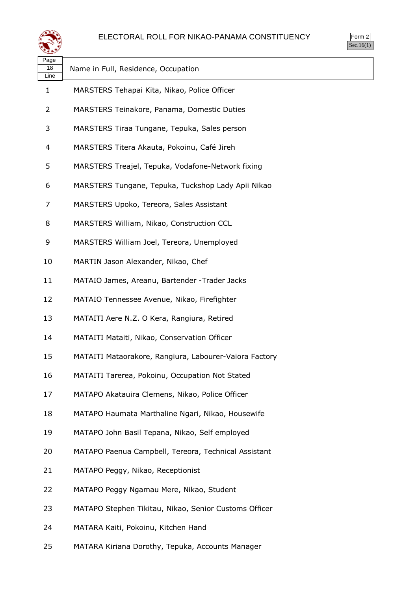



| Page<br>18<br>Line | Name in Full, Residence, Occupation                    |
|--------------------|--------------------------------------------------------|
| 1                  | MARSTERS Tehapai Kita, Nikao, Police Officer           |
| 2                  | MARSTERS Teinakore, Panama, Domestic Duties            |
| 3                  | MARSTERS Tiraa Tungane, Tepuka, Sales person           |
| 4                  | MARSTERS Titera Akauta, Pokoinu, Café Jireh            |
| 5                  | MARSTERS Treajel, Tepuka, Vodafone-Network fixing      |
| 6                  | MARSTERS Tungane, Tepuka, Tuckshop Lady Apii Nikao     |
| 7                  | MARSTERS Upoko, Tereora, Sales Assistant               |
| 8                  | MARSTERS William, Nikao, Construction CCL              |
| 9                  | MARSTERS William Joel, Tereora, Unemployed             |
| 10                 | MARTIN Jason Alexander, Nikao, Chef                    |
| 11                 | MATAIO James, Areanu, Bartender - Trader Jacks         |
| 12                 | MATAIO Tennessee Avenue, Nikao, Firefighter            |
| 13                 | MATAITI Aere N.Z. O Kera, Rangiura, Retired            |
| 14                 | MATAITI Mataiti, Nikao, Conservation Officer           |
| 15                 | MATAITI Mataorakore, Rangiura, Labourer-Vaiora Factory |
| 16                 | MATAITI Tarerea, Pokoinu, Occupation Not Stated        |
| 17                 | MATAPO Akatauira Clemens, Nikao, Police Officer        |
| 18                 | MATAPO Haumata Marthaline Ngari, Nikao, Housewife      |
| 19                 | MATAPO John Basil Tepana, Nikao, Self employed         |
| 20                 | MATAPO Paenua Campbell, Tereora, Technical Assistant   |
| 21                 | MATAPO Peggy, Nikao, Receptionist                      |
| 22                 | MATAPO Peggy Ngamau Mere, Nikao, Student               |
| 23                 | MATAPO Stephen Tikitau, Nikao, Senior Customs Officer  |
| 24                 | MATARA Kaiti, Pokoinu, Kitchen Hand                    |
|                    |                                                        |

MATARA Kiriana Dorothy, Tepuka, Accounts Manager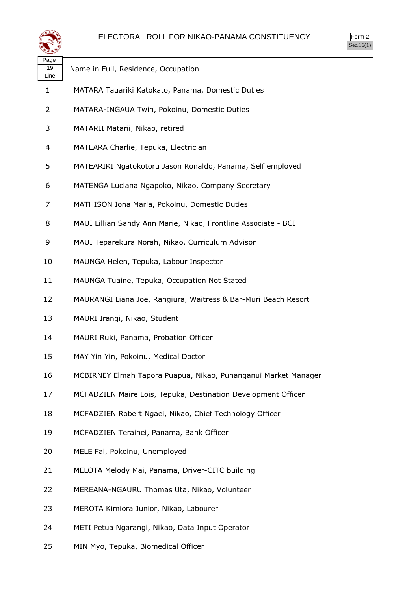

|     | $\overline{3}$ rm<br>╯ |  |
|-----|------------------------|--|
| . I |                        |  |

| Page<br>19<br>Line | Name in Full, Residence, Occupation                            |
|--------------------|----------------------------------------------------------------|
| 1                  | MATARA Tauariki Katokato, Panama, Domestic Duties              |
| 2                  | MATARA-INGAUA Twin, Pokoinu, Domestic Duties                   |
| 3                  | MATARII Matarii, Nikao, retired                                |
| 4                  | MATEARA Charlie, Tepuka, Electrician                           |
| 5                  | MATEARIKI Ngatokotoru Jason Ronaldo, Panama, Self employed     |
| 6                  | MATENGA Luciana Ngapoko, Nikao, Company Secretary              |
| 7                  | MATHISON Iona Maria, Pokoinu, Domestic Duties                  |
| 8                  | MAUI Lillian Sandy Ann Marie, Nikao, Frontline Associate - BCI |
| 9                  | MAUI Teparekura Norah, Nikao, Curriculum Advisor               |
| 10                 | MAUNGA Helen, Tepuka, Labour Inspector                         |
| 11                 | MAUNGA Tuaine, Tepuka, Occupation Not Stated                   |
| 12                 | MAURANGI Liana Joe, Rangiura, Waitress & Bar-Muri Beach Resort |
| 13                 | MAURI Irangi, Nikao, Student                                   |
| 14                 | MAURI Ruki, Panama, Probation Officer                          |
| 15                 | MAY Yin Yin, Pokoinu, Medical Doctor                           |
| 16                 | MCBIRNEY Elmah Tapora Puapua, Nikao, Punanganui Market Manager |
| 17                 | MCFADZIEN Maire Lois, Tepuka, Destination Development Officer  |
| 18                 | MCFADZIEN Robert Ngaei, Nikao, Chief Technology Officer        |
| 19                 | MCFADZIEN Teraihei, Panama, Bank Officer                       |
| 20                 | MELE Fai, Pokoinu, Unemployed                                  |
| 21                 | MELOTA Melody Mai, Panama, Driver-CITC building                |
| 22                 | MEREANA-NGAURU Thomas Uta, Nikao, Volunteer                    |
| 23                 | MEROTA Kimiora Junior, Nikao, Labourer                         |
| 24                 | METI Petua Ngarangi, Nikao, Data Input Operator                |
| 25                 | MIN Myo, Tepuka, Biomedical Officer                            |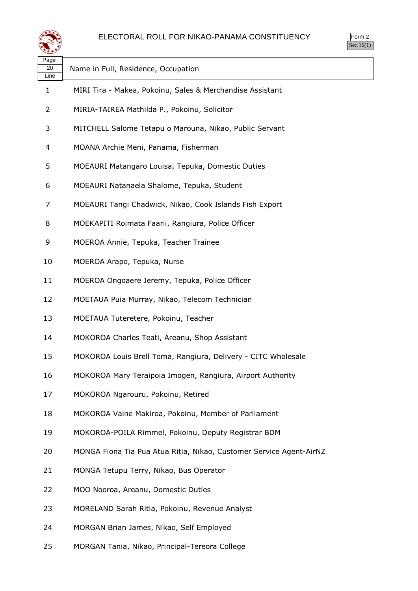

| Page<br>20<br>Line | Name in Full, Residence, Occupation                                 |
|--------------------|---------------------------------------------------------------------|
| 1                  | MIRI Tira - Makea, Pokoinu, Sales & Merchandise Assistant           |
| 2                  | MIRIA-TAIREA Mathilda P., Pokoinu, Solicitor                        |
| 3                  | MITCHELL Salome Tetapu o Marouna, Nikao, Public Servant             |
| 4                  | MOANA Archie Meni, Panama, Fisherman                                |
| 5                  | MOEAURI Matangaro Louisa, Tepuka, Domestic Duties                   |
| 6                  | MOEAURI Natanaela Shalome, Tepuka, Student                          |
| 7                  | MOEAURI Tangi Chadwick, Nikao, Cook Islands Fish Export             |
| 8                  | MOEKAPITI Roimata Faarii, Rangiura, Police Officer                  |
| 9                  | MOEROA Annie, Tepuka, Teacher Trainee                               |
| 10                 | MOEROA Arapo, Tepuka, Nurse                                         |
| 11                 | MOEROA Ongoaere Jeremy, Tepuka, Police Officer                      |
| 12                 | MOETAUA Puia Murray, Nikao, Telecom Technician                      |
| 13                 | MOETAUA Tuteretere, Pokoinu, Teacher                                |
| 14                 | MOKOROA Charles Teati, Areanu, Shop Assistant                       |
| 15                 | MOKOROA Louis Brell Toma, Rangiura, Delivery - CITC Wholesale       |
| 16                 | MOKOROA Mary Teraipoia Imogen, Rangiura, Airport Authority          |
| 17                 | MOKOROA Ngarouru, Pokoinu, Retired                                  |
| 18                 | MOKOROA Vaine Makiroa, Pokoinu, Member of Parliament                |
| 19                 | MOKOROA-POILA Rimmel, Pokoinu, Deputy Registrar BDM                 |
| 20                 | MONGA Fiona Tia Pua Atua Ritia, Nikao, Customer Service Agent-AirNZ |
| 21                 | MONGA Tetupu Terry, Nikao, Bus Operator                             |
| 22                 | MOO Nooroa, Areanu, Domestic Duties                                 |
| 23                 | MORELAND Sarah Ritia, Pokoinu, Revenue Analyst                      |
| 24                 | MORGAN Brian James, Nikao, Self Employed                            |
| 25                 | MORGAN Tania, Nikao, Principal-Tereora College                      |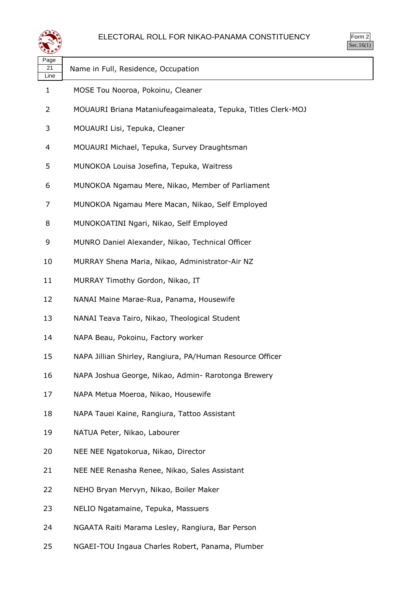

| Page<br>21<br>Line | Name in Full, Residence, Occupation                           |
|--------------------|---------------------------------------------------------------|
| 1                  | MOSE Tou Nooroa, Pokoinu, Cleaner                             |
| 2                  | MOUAURI Briana Mataniufeagaimaleata, Tepuka, Titles Clerk-MOJ |
| 3                  | MOUAURI Lisi, Tepuka, Cleaner                                 |
| 4                  | MOUAURI Michael, Tepuka, Survey Draughtsman                   |
| 5                  | MUNOKOA Louisa Josefina, Tepuka, Waitress                     |
| 6                  | MUNOKOA Ngamau Mere, Nikao, Member of Parliament              |
| 7                  | MUNOKOA Ngamau Mere Macan, Nikao, Self Employed               |
| 8                  | MUNOKOATINI Ngari, Nikao, Self Employed                       |
| 9                  | MUNRO Daniel Alexander, Nikao, Technical Officer              |
| 10                 | MURRAY Shena Maria, Nikao, Administrator-Air NZ               |
| 11                 | MURRAY Timothy Gordon, Nikao, IT                              |
| 12                 | NANAI Maine Marae-Rua, Panama, Housewife                      |
| 13                 | NANAI Teava Tairo, Nikao, Theological Student                 |
| 14                 | NAPA Beau, Pokoinu, Factory worker                            |
| 15                 | NAPA Jillian Shirley, Rangiura, PA/Human Resource Officer     |
| 16                 | NAPA Joshua George, Nikao, Admin- Rarotonga Brewery           |
| 17                 | NAPA Metua Moeroa, Nikao, Housewife                           |
| 18                 | NAPA Tauei Kaine, Rangiura, Tattoo Assistant                  |
| 19                 | NATUA Peter, Nikao, Labourer                                  |
| 20                 | NEE NEE Ngatokorua, Nikao, Director                           |
| 21                 | NEE NEE Renasha Renee, Nikao, Sales Assistant                 |
| 22                 | NEHO Bryan Mervyn, Nikao, Boiler Maker                        |
| 23                 | NELIO Ngatamaine, Tepuka, Massuers                            |
| 24                 | NGAATA Raiti Marama Lesley, Rangiura, Bar Person              |

NGAEI-TOU Ingaua Charles Robert, Panama, Plumber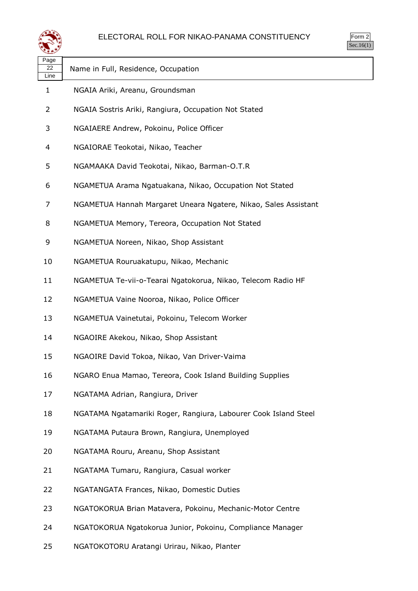

| orm<br>╯ |
|----------|
| ٠ ا      |

| Page<br>22<br>Line | Name in Full, Residence, Occupation                             |
|--------------------|-----------------------------------------------------------------|
| 1                  | NGAIA Ariki, Areanu, Groundsman                                 |
| 2                  | NGAIA Sostris Ariki, Rangiura, Occupation Not Stated            |
| 3                  | NGAIAERE Andrew, Pokoinu, Police Officer                        |
| 4                  | NGAIORAE Teokotai, Nikao, Teacher                               |
| 5                  | NGAMAAKA David Teokotai, Nikao, Barman-O.T.R                    |
| 6                  | NGAMETUA Arama Ngatuakana, Nikao, Occupation Not Stated         |
| 7                  | NGAMETUA Hannah Margaret Uneara Ngatere, Nikao, Sales Assistant |
| 8                  | NGAMETUA Memory, Tereora, Occupation Not Stated                 |
| 9                  | NGAMETUA Noreen, Nikao, Shop Assistant                          |
| 10                 | NGAMETUA Rouruakatupu, Nikao, Mechanic                          |
| 11                 | NGAMETUA Te-vii-o-Tearai Ngatokorua, Nikao, Telecom Radio HF    |
| 12                 | NGAMETUA Vaine Nooroa, Nikao, Police Officer                    |
| 13                 | NGAMETUA Vainetutai, Pokoinu, Telecom Worker                    |
| 14                 | NGAOIRE Akekou, Nikao, Shop Assistant                           |
| 15                 | NGAOIRE David Tokoa, Nikao, Van Driver-Vaima                    |
| 16                 | NGARO Enua Mamao, Tereora, Cook Island Building Supplies        |
| 17                 | NGATAMA Adrian, Rangiura, Driver                                |
| 18                 | NGATAMA Ngatamariki Roger, Rangiura, Labourer Cook Island Steel |
| 19                 | NGATAMA Putaura Brown, Rangiura, Unemployed                     |
| 20                 | NGATAMA Rouru, Areanu, Shop Assistant                           |
| 21                 | NGATAMA Tumaru, Rangiura, Casual worker                         |
| 22                 | NGATANGATA Frances, Nikao, Domestic Duties                      |
| 23                 | NGATOKORUA Brian Matavera, Pokoinu, Mechanic-Motor Centre       |
| 24                 | NGATOKORUA Ngatokorua Junior, Pokoinu, Compliance Manager       |
| 25                 | NGATOKOTORU Aratangi Urirau, Nikao, Planter                     |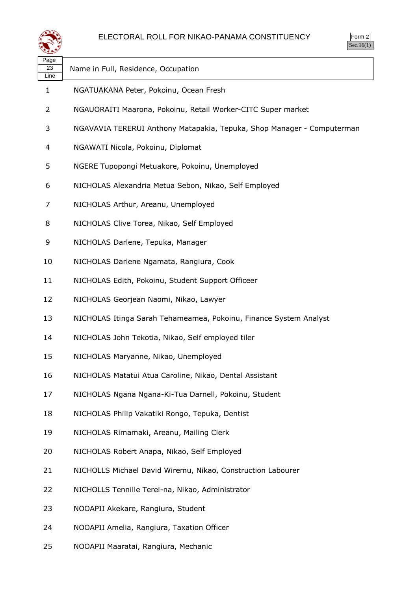

| Page<br>23<br>Line | Name in Full, Residence, Occupation                                    |
|--------------------|------------------------------------------------------------------------|
| $\mathbf{1}$       | NGATUAKANA Peter, Pokoinu, Ocean Fresh                                 |
| $\overline{2}$     | NGAUORAITI Maarona, Pokoinu, Retail Worker-CITC Super market           |
| 3                  | NGAVAVIA TERERUI Anthony Matapakia, Tepuka, Shop Manager - Computerman |
| 4                  | NGAWATI Nicola, Pokoinu, Diplomat                                      |
| 5                  | NGERE Tupopongi Metuakore, Pokoinu, Unemployed                         |
| 6                  | NICHOLAS Alexandria Metua Sebon, Nikao, Self Employed                  |
| 7                  | NICHOLAS Arthur, Areanu, Unemployed                                    |
| 8                  | NICHOLAS Clive Torea, Nikao, Self Employed                             |
| 9                  | NICHOLAS Darlene, Tepuka, Manager                                      |
| 10                 | NICHOLAS Darlene Ngamata, Rangiura, Cook                               |
| 11                 | NICHOLAS Edith, Pokoinu, Student Support Officeer                      |
| 12                 | NICHOLAS Georjean Naomi, Nikao, Lawyer                                 |
| 13                 | NICHOLAS Itinga Sarah Tehameamea, Pokoinu, Finance System Analyst      |
| 14                 | NICHOLAS John Tekotia, Nikao, Self employed tiler                      |
| 15                 | NICHOLAS Maryanne, Nikao, Unemployed                                   |
| 16                 | NICHOLAS Matatui Atua Caroline, Nikao, Dental Assistant                |
| 17                 | NICHOLAS Ngana Ngana-Ki-Tua Darnell, Pokoinu, Student                  |
| 18                 | NICHOLAS Philip Vakatiki Rongo, Tepuka, Dentist                        |
| 19                 | NICHOLAS Rimamaki, Areanu, Mailing Clerk                               |
| 20                 | NICHOLAS Robert Anapa, Nikao, Self Employed                            |
| 21                 | NICHOLLS Michael David Wiremu, Nikao, Construction Labourer            |
| 22                 | NICHOLLS Tennille Terei-na, Nikao, Administrator                       |
| 23                 | NOOAPII Akekare, Rangiura, Student                                     |
| 24                 | NOOAPII Amelia, Rangiura, Taxation Officer                             |

NOOAPII Maaratai, Rangiura, Mechanic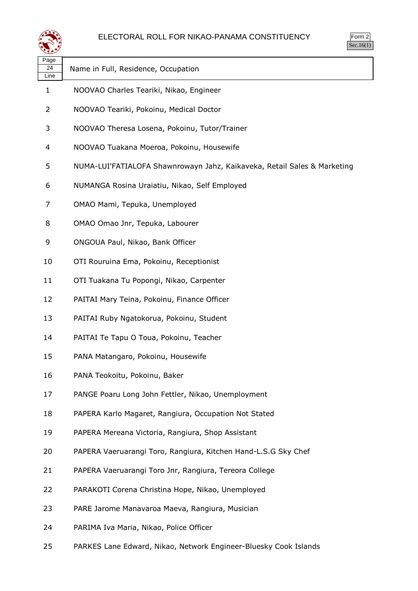



| Page<br>24<br>Line | Name in Full, Residence, Occupation                                      |
|--------------------|--------------------------------------------------------------------------|
| $\mathbf{1}$       | NOOVAO Charles Teariki, Nikao, Engineer                                  |
| 2                  | NOOVAO Teariki, Pokoinu, Medical Doctor                                  |
| 3                  | NOOVAO Theresa Losena, Pokoinu, Tutor/Trainer                            |
| 4                  | NOOVAO Tuakana Moeroa, Pokoinu, Housewife                                |
| 5                  | NUMA-LUI'FATIALOFA Shawnrowayn Jahz, Kaikaveka, Retail Sales & Marketing |
| 6                  | NUMANGA Rosina Uraiatiu, Nikao, Self Employed                            |
| 7                  | OMAO Mami, Tepuka, Unemployed                                            |
| 8                  | OMAO Omao Jnr, Tepuka, Labourer                                          |
| 9                  | ONGOUA Paul, Nikao, Bank Officer                                         |
| 10                 | OTI Rouruina Ema, Pokoinu, Receptionist                                  |
| 11                 | OTI Tuakana Tu Popongi, Nikao, Carpenter                                 |
| 12                 | PAITAI Mary Teina, Pokoinu, Finance Officer                              |
| 13                 | PAITAI Ruby Ngatokorua, Pokoinu, Student                                 |
| 14                 | PAITAI Te Tapu O Toua, Pokoinu, Teacher                                  |
| 15                 | PANA Matangaro, Pokoinu, Housewife                                       |
| 16                 | PANA Teokoitu, Pokoinu, Baker                                            |
| 17                 | PANGE Poaru Long John Fettler, Nikao, Unemployment                       |
| 18                 | PAPERA Karlo Magaret, Rangiura, Occupation Not Stated                    |
| 19                 | PAPERA Mereana Victoria, Rangiura, Shop Assistant                        |
| 20                 | PAPERA Vaeruarangi Toro, Rangiura, Kitchen Hand-L.S.G Sky Chef           |
| 21                 | PAPERA Vaeruarangi Toro Jnr, Rangiura, Tereora College                   |
| 22                 | PARAKOTI Corena Christina Hope, Nikao, Unemployed                        |
| 23                 | PARE Jarome Manavaroa Maeva, Rangiura, Musician                          |
| 24                 | PARIMA Iva Maria, Nikao, Police Officer                                  |
| 25                 | PARKES Lane Edward, Nikao, Network Engineer-Bluesky Cook Islands         |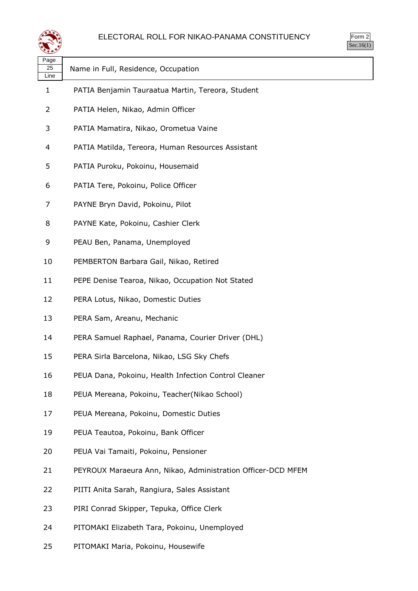



| પ∓≠У               |                                                              |
|--------------------|--------------------------------------------------------------|
| Page<br>25<br>Line | Name in Full, Residence, Occupation                          |
| $\mathbf{1}$       | PATIA Benjamin Tauraatua Martin, Tereora, Student            |
| 2                  | PATIA Helen, Nikao, Admin Officer                            |
| 3                  | PATIA Mamatira, Nikao, Orometua Vaine                        |
| 4                  | PATIA Matilda, Tereora, Human Resources Assistant            |
| 5                  | PATIA Puroku, Pokoinu, Housemaid                             |
| 6                  | PATIA Tere, Pokoinu, Police Officer                          |
| 7                  | PAYNE Bryn David, Pokoinu, Pilot                             |
| 8                  | PAYNE Kate, Pokoinu, Cashier Clerk                           |
| 9                  | PEAU Ben, Panama, Unemployed                                 |
| 10                 | PEMBERTON Barbara Gail, Nikao, Retired                       |
| 11                 | PEPE Denise Tearoa, Nikao, Occupation Not Stated             |
| 12                 | PERA Lotus, Nikao, Domestic Duties                           |
| 13                 | PERA Sam, Areanu, Mechanic                                   |
| 14                 | PERA Samuel Raphael, Panama, Courier Driver (DHL)            |
| 15                 | PERA Sirla Barcelona, Nikao, LSG Sky Chefs                   |
| 16                 | PEUA Dana, Pokoinu, Health Infection Control Cleaner         |
| 18                 | PEUA Mereana, Pokoinu, Teacher(Nikao School)                 |
| 17                 | PEUA Mereana, Pokoinu, Domestic Duties                       |
| 19                 | PEUA Teautoa, Pokoinu, Bank Officer                          |
| 20                 | PEUA Vai Tamaiti, Pokoinu, Pensioner                         |
| 21                 | PEYROUX Maraeura Ann, Nikao, Administration Officer-DCD MFEM |
| 22                 | PIITI Anita Sarah, Rangiura, Sales Assistant                 |
| 23                 | PIRI Conrad Skipper, Tepuka, Office Clerk                    |
| 24                 | PITOMAKI Elizabeth Tara, Pokoinu, Unemployed                 |

PITOMAKI Maria, Pokoinu, Housewife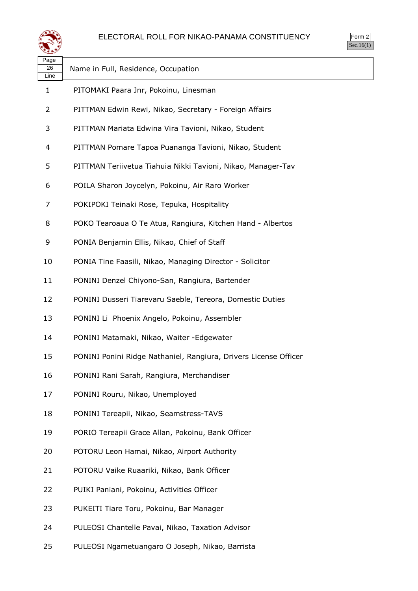

| Page<br>26<br>Line | Name in Full, Residence, Occupation                              |
|--------------------|------------------------------------------------------------------|
| 1                  | PITOMAKI Paara Jnr, Pokoinu, Linesman                            |
| 2                  | PITTMAN Edwin Rewi, Nikao, Secretary - Foreign Affairs           |
| 3                  | PITTMAN Mariata Edwina Vira Tavioni, Nikao, Student              |
| 4                  | PITTMAN Pomare Tapoa Puananga Tavioni, Nikao, Student            |
| 5                  | PITTMAN Teriivetua Tiahuia Nikki Tavioni, Nikao, Manager-Tav     |
| 6                  | POILA Sharon Joycelyn, Pokoinu, Air Raro Worker                  |
| 7                  | POKIPOKI Teinaki Rose, Tepuka, Hospitality                       |
| 8                  | POKO Tearoaua O Te Atua, Rangiura, Kitchen Hand - Albertos       |
| 9                  | PONIA Benjamin Ellis, Nikao, Chief of Staff                      |
| 10                 | PONIA Tine Faasili, Nikao, Managing Director - Solicitor         |
| 11                 | PONINI Denzel Chiyono-San, Rangiura, Bartender                   |
| 12                 | PONINI Dusseri Tiarevaru Saeble, Tereora, Domestic Duties        |
| 13                 | PONINI Li Phoenix Angelo, Pokoinu, Assembler                     |
| 14                 | PONINI Matamaki, Nikao, Waiter - Edgewater                       |
| 15                 | PONINI Ponini Ridge Nathaniel, Rangiura, Drivers License Officer |
| 16                 | PONINI Rani Sarah, Rangiura, Merchandiser                        |
| 17                 | PONINI Rouru, Nikao, Unemployed                                  |
| 18                 | PONINI Tereapii, Nikao, Seamstress-TAVS                          |
| 19                 | PORIO Tereapii Grace Allan, Pokoinu, Bank Officer                |
| 20                 | POTORU Leon Hamai, Nikao, Airport Authority                      |
| 21                 | POTORU Vaike Ruaariki, Nikao, Bank Officer                       |
| 22                 | PUIKI Paniani, Pokoinu, Activities Officer                       |
| 23                 | PUKEITI Tiare Toru, Pokoinu, Bar Manager                         |
| 24                 | PULEOSI Chantelle Pavai, Nikao, Taxation Advisor                 |
| 25                 | PULEOSI Ngametuangaro O Joseph, Nikao, Barrista                  |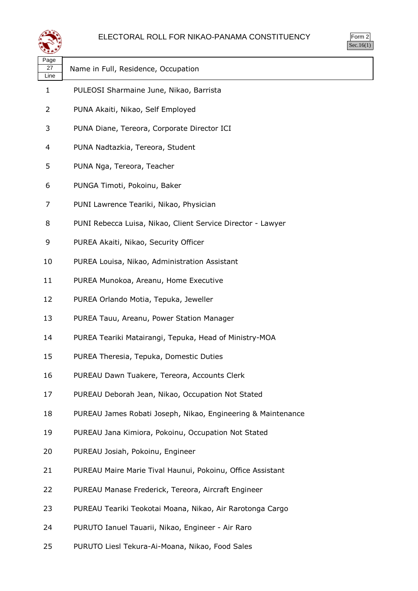

| orm<br>ر |
|----------|
| ٠.       |

| Page<br>27<br>Line | Name in Full, Residence, Occupation                          |
|--------------------|--------------------------------------------------------------|
| $\mathbf{1}$       | PULEOSI Sharmaine June, Nikao, Barrista                      |
| 2                  | PUNA Akaiti, Nikao, Self Employed                            |
| 3                  | PUNA Diane, Tereora, Corporate Director ICI                  |
| 4                  | PUNA Nadtazkia, Tereora, Student                             |
| 5                  | PUNA Nga, Tereora, Teacher                                   |
| 6                  | PUNGA Timoti, Pokoinu, Baker                                 |
| 7                  | PUNI Lawrence Teariki, Nikao, Physician                      |
| 8                  | PUNI Rebecca Luisa, Nikao, Client Service Director - Lawyer  |
| 9                  | PUREA Akaiti, Nikao, Security Officer                        |
| 10                 | PUREA Louisa, Nikao, Administration Assistant                |
| 11                 | PUREA Munokoa, Areanu, Home Executive                        |
| 12                 | PUREA Orlando Motia, Tepuka, Jeweller                        |
| 13                 | PUREA Tauu, Areanu, Power Station Manager                    |
| 14                 | PUREA Teariki Matairangi, Tepuka, Head of Ministry-MOA       |
| 15                 | PUREA Theresia, Tepuka, Domestic Duties                      |
| 16                 | PUREAU Dawn Tuakere, Tereora, Accounts Clerk                 |
| 17                 | PUREAU Deborah Jean, Nikao, Occupation Not Stated            |
| 18                 | PUREAU James Robati Joseph, Nikao, Engineering & Maintenance |
| 19                 | PUREAU Jana Kimiora, Pokoinu, Occupation Not Stated          |
| 20                 | PUREAU Josiah, Pokoinu, Engineer                             |
| 21                 | PUREAU Maire Marie Tival Haunui, Pokoinu, Office Assistant   |
| 22                 | PUREAU Manase Frederick, Tereora, Aircraft Engineer          |
| 23                 | PUREAU Teariki Teokotai Moana, Nikao, Air Rarotonga Cargo    |
| 24                 | PURUTO Ianuel Tauarii, Nikao, Engineer - Air Raro            |
| 25                 | PURUTO Liesl Tekura-Ai-Moana, Nikao, Food Sales              |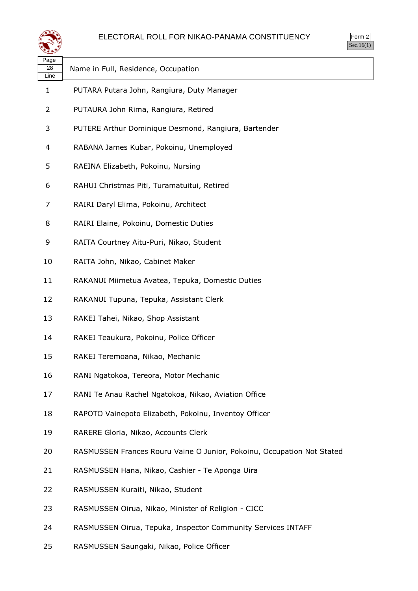



| પ∓≠У               |                                                                        |
|--------------------|------------------------------------------------------------------------|
| Page<br>28<br>Line | Name in Full, Residence, Occupation                                    |
| $\mathbf{1}$       | PUTARA Putara John, Rangiura, Duty Manager                             |
| 2                  | PUTAURA John Rima, Rangiura, Retired                                   |
| 3                  | PUTERE Arthur Dominique Desmond, Rangiura, Bartender                   |
| 4                  | RABANA James Kubar, Pokoinu, Unemployed                                |
| 5                  | RAEINA Elizabeth, Pokoinu, Nursing                                     |
| 6                  | RAHUI Christmas Piti, Turamatuitui, Retired                            |
| 7                  | RAIRI Daryl Elima, Pokoinu, Architect                                  |
| 8                  | RAIRI Elaine, Pokoinu, Domestic Duties                                 |
| 9                  | RAITA Courtney Aitu-Puri, Nikao, Student                               |
| 10                 | RAITA John, Nikao, Cabinet Maker                                       |
| 11                 | RAKANUI Miimetua Avatea, Tepuka, Domestic Duties                       |
| 12                 | RAKANUI Tupuna, Tepuka, Assistant Clerk                                |
| 13                 | RAKEI Tahei, Nikao, Shop Assistant                                     |
| 14                 | RAKEI Teaukura, Pokoinu, Police Officer                                |
| 15                 | RAKEI Teremoana, Nikao, Mechanic                                       |
| 16                 | RANI Ngatokoa, Tereora, Motor Mechanic                                 |
| 17                 | RANI Te Anau Rachel Ngatokoa, Nikao, Aviation Office                   |
| 18                 | RAPOTO Vainepoto Elizabeth, Pokoinu, Inventoy Officer                  |
| 19                 | RARERE Gloria, Nikao, Accounts Clerk                                   |
| 20                 | RASMUSSEN Frances Rouru Vaine O Junior, Pokoinu, Occupation Not Stated |
| 21                 | RASMUSSEN Hana, Nikao, Cashier - Te Aponga Uira                        |
| 22                 | RASMUSSEN Kuraiti, Nikao, Student                                      |
| 23                 | RASMUSSEN Oirua, Nikao, Minister of Religion - CICC                    |
| 24                 | RASMUSSEN Oirua, Tepuka, Inspector Community Services INTAFF           |
| 25                 | RASMUSSEN Saungaki, Nikao, Police Officer                              |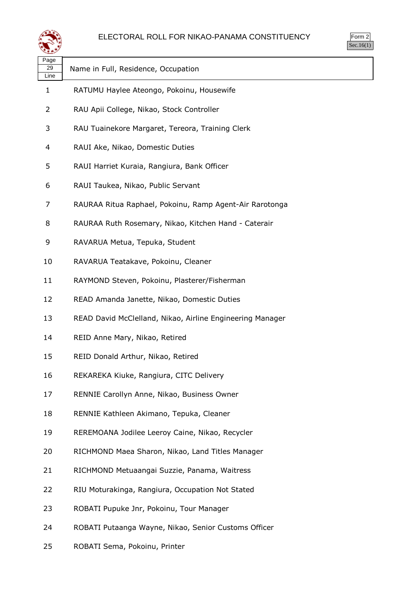



| ∽                  |                                                           |
|--------------------|-----------------------------------------------------------|
| Page<br>29<br>Line | Name in Full, Residence, Occupation                       |
| 1                  | RATUMU Haylee Ateongo, Pokoinu, Housewife                 |
| 2                  | RAU Apii College, Nikao, Stock Controller                 |
| 3                  | RAU Tuainekore Margaret, Tereora, Training Clerk          |
| 4                  | RAUI Ake, Nikao, Domestic Duties                          |
| 5                  | RAUI Harriet Kuraia, Rangiura, Bank Officer               |
| 6                  | RAUI Taukea, Nikao, Public Servant                        |
| 7                  | RAURAA Ritua Raphael, Pokoinu, Ramp Agent-Air Rarotonga   |
| 8                  | RAURAA Ruth Rosemary, Nikao, Kitchen Hand - Caterair      |
| 9                  | RAVARUA Metua, Tepuka, Student                            |
| 10                 | RAVARUA Teatakave, Pokoinu, Cleaner                       |
| 11                 | RAYMOND Steven, Pokoinu, Plasterer/Fisherman              |
| 12                 | READ Amanda Janette, Nikao, Domestic Duties               |
| 13                 | READ David McClelland, Nikao, Airline Engineering Manager |
| 14                 | REID Anne Mary, Nikao, Retired                            |
| 15                 | REID Donald Arthur, Nikao, Retired                        |
| 16                 | REKAREKA Kiuke, Rangiura, CITC Delivery                   |
| 17                 | RENNIE Carollyn Anne, Nikao, Business Owner               |
| 18                 | RENNIE Kathleen Akimano, Tepuka, Cleaner                  |
| 19                 | REREMOANA Jodilee Leeroy Caine, Nikao, Recycler           |
| 20                 | RICHMOND Maea Sharon, Nikao, Land Titles Manager          |
| 21                 | RICHMOND Metuaangai Suzzie, Panama, Waitress              |
| 22                 | RIU Moturakinga, Rangiura, Occupation Not Stated          |
| 23                 | ROBATI Pupuke Jnr, Pokoinu, Tour Manager                  |
| 24                 | ROBATI Putaanga Wayne, Nikao, Senior Customs Officer      |
| 25                 | ROBATI Sema, Pokoinu, Printer                             |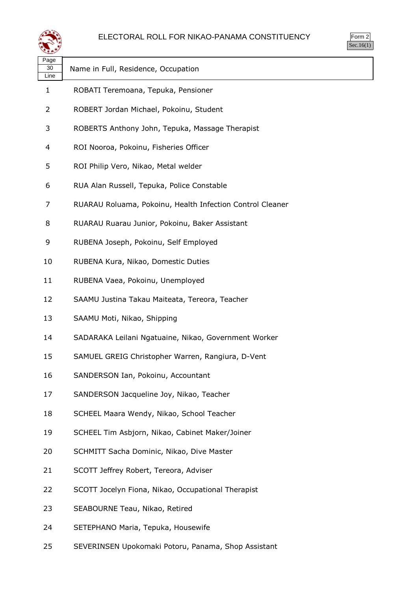

| orm |
|-----|
| ٠.  |

| Page<br>30<br>Line | Name in Full, Residence, Occupation                       |
|--------------------|-----------------------------------------------------------|
| 1                  | ROBATI Teremoana, Tepuka, Pensioner                       |
| 2                  | ROBERT Jordan Michael, Pokoinu, Student                   |
| 3                  | ROBERTS Anthony John, Tepuka, Massage Therapist           |
| 4                  | ROI Nooroa, Pokoinu, Fisheries Officer                    |
| 5                  | ROI Philip Vero, Nikao, Metal welder                      |
| 6                  | RUA Alan Russell, Tepuka, Police Constable                |
| 7                  | RUARAU Roluama, Pokoinu, Health Infection Control Cleaner |
| 8                  | RUARAU Ruarau Junior, Pokoinu, Baker Assistant            |
| 9                  | RUBENA Joseph, Pokoinu, Self Employed                     |
| 10                 | RUBENA Kura, Nikao, Domestic Duties                       |
| 11                 | RUBENA Vaea, Pokoinu, Unemployed                          |
| 12                 | SAAMU Justina Takau Maiteata, Tereora, Teacher            |
| 13                 | SAAMU Moti, Nikao, Shipping                               |
| 14                 | SADARAKA Leilani Ngatuaine, Nikao, Government Worker      |
| 15                 | SAMUEL GREIG Christopher Warren, Rangiura, D-Vent         |
| 16                 | SANDERSON Ian, Pokoinu, Accountant                        |
| 17                 | SANDERSON Jacqueline Joy, Nikao, Teacher                  |
| 18                 | SCHEEL Maara Wendy, Nikao, School Teacher                 |
| 19                 | SCHEEL Tim Asbjorn, Nikao, Cabinet Maker/Joiner           |
| 20                 | SCHMITT Sacha Dominic, Nikao, Dive Master                 |
| 21                 | SCOTT Jeffrey Robert, Tereora, Adviser                    |
| 22                 | SCOTT Jocelyn Fiona, Nikao, Occupational Therapist        |
| 23                 | SEABOURNE Teau, Nikao, Retired                            |
| 24                 | SETEPHANO Maria, Tepuka, Housewife                        |
| 25                 | SEVERINSEN Upokomaki Potoru, Panama, Shop Assistant       |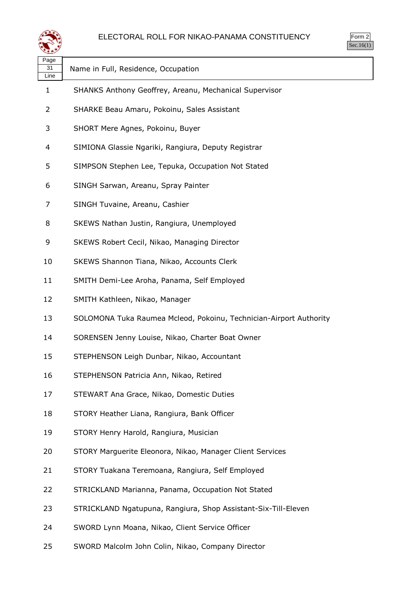

| Page<br>31<br>Line | Name in Full, Residence, Occupation                                |
|--------------------|--------------------------------------------------------------------|
| 1                  | SHANKS Anthony Geoffrey, Areanu, Mechanical Supervisor             |
| 2                  | SHARKE Beau Amaru, Pokoinu, Sales Assistant                        |
| 3                  | SHORT Mere Agnes, Pokoinu, Buyer                                   |
| 4                  | SIMIONA Glassie Ngariki, Rangiura, Deputy Registrar                |
| 5                  | SIMPSON Stephen Lee, Tepuka, Occupation Not Stated                 |
| 6                  | SINGH Sarwan, Areanu, Spray Painter                                |
| 7                  | SINGH Tuvaine, Areanu, Cashier                                     |
| 8                  | SKEWS Nathan Justin, Rangiura, Unemployed                          |
| 9                  | SKEWS Robert Cecil, Nikao, Managing Director                       |
| 10                 | SKEWS Shannon Tiana, Nikao, Accounts Clerk                         |
| 11                 | SMITH Demi-Lee Aroha, Panama, Self Employed                        |
| 12                 | SMITH Kathleen, Nikao, Manager                                     |
| 13                 | SOLOMONA Tuka Raumea Mcleod, Pokoinu, Technician-Airport Authority |
| 14                 | SORENSEN Jenny Louise, Nikao, Charter Boat Owner                   |
| 15                 | STEPHENSON Leigh Dunbar, Nikao, Accountant                         |
| 16                 | STEPHENSON Patricia Ann, Nikao, Retired                            |
| 17                 | STEWART Ana Grace, Nikao, Domestic Duties                          |
| 18                 | STORY Heather Liana, Rangiura, Bank Officer                        |
| 19                 | STORY Henry Harold, Rangiura, Musician                             |
| 20                 | STORY Marguerite Eleonora, Nikao, Manager Client Services          |
| 21                 | STORY Tuakana Teremoana, Rangiura, Self Employed                   |
| 22                 | STRICKLAND Marianna, Panama, Occupation Not Stated                 |
| 23                 | STRICKLAND Ngatupuna, Rangiura, Shop Assistant-Six-Till-Eleven     |
| 24                 | SWORD Lynn Moana, Nikao, Client Service Officer                    |

SWORD Malcolm John Colin, Nikao, Company Director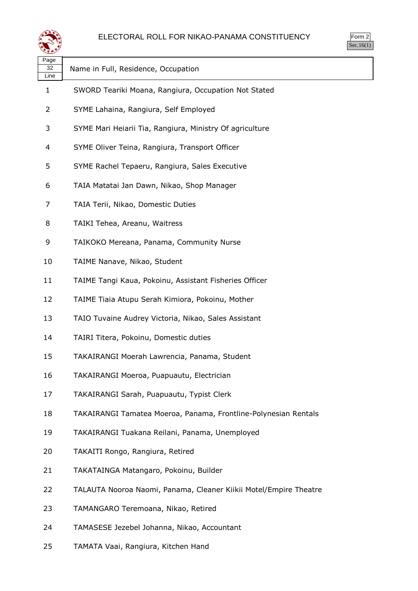

| Page<br>32<br>Line | Name in Full, Residence, Occupation                               |
|--------------------|-------------------------------------------------------------------|
| 1                  | SWORD Teariki Moana, Rangiura, Occupation Not Stated              |
| 2                  | SYME Lahaina, Rangiura, Self Employed                             |
| 3                  | SYME Mari Heiarii Tia, Rangiura, Ministry Of agriculture          |
| 4                  | SYME Oliver Teina, Rangiura, Transport Officer                    |
| 5                  | SYME Rachel Tepaeru, Rangiura, Sales Executive                    |
| 6                  | TAIA Matatai Jan Dawn, Nikao, Shop Manager                        |
| 7                  | TAIA Terii, Nikao, Domestic Duties                                |
| 8                  | TAIKI Tehea, Areanu, Waitress                                     |
| 9                  | TAIKOKO Mereana, Panama, Community Nurse                          |
| 10                 | TAIME Nanave, Nikao, Student                                      |
| 11                 | TAIME Tangi Kaua, Pokoinu, Assistant Fisheries Officer            |
| 12                 | TAIME Tiaia Atupu Serah Kimiora, Pokoinu, Mother                  |
| 13                 | TAIO Tuvaine Audrey Victoria, Nikao, Sales Assistant              |
| 14                 | TAIRI Titera, Pokoinu, Domestic duties                            |
| 15                 | TAKAIRANGI Moerah Lawrencia, Panama, Student                      |
| 16                 | TAKAIRANGI Moeroa, Puapuautu, Electrician                         |
| 17                 | TAKAIRANGI Sarah, Puapuautu, Typist Clerk                         |
| 18                 | TAKAIRANGI Tamatea Moeroa, Panama, Frontline-Polynesian Rentals   |
| 19                 | TAKAIRANGI Tuakana Reilani, Panama, Unemployed                    |
| 20                 | TAKAITI Rongo, Rangiura, Retired                                  |
| 21                 | TAKATAINGA Matangaro, Pokoinu, Builder                            |
| 22                 | TALAUTA Nooroa Naomi, Panama, Cleaner Kiikii Motel/Empire Theatre |
| 23                 | TAMANGARO Teremoana, Nikao, Retired                               |
| 24                 | TAMASESE Jezebel Johanna, Nikao, Accountant                       |
| 25                 | TAMATA Vaai, Rangiura, Kitchen Hand                               |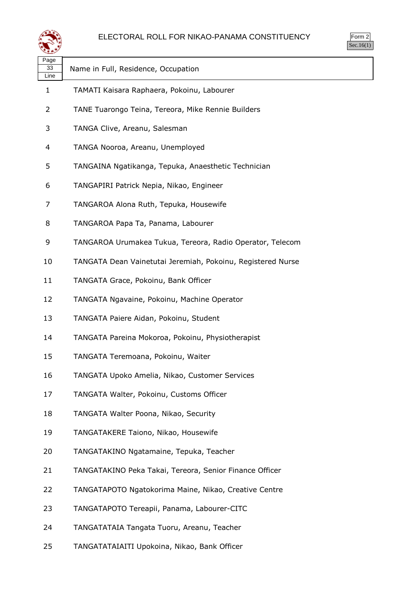

| Page<br>33<br>Line | Name in Full, Residence, Occupation                         |
|--------------------|-------------------------------------------------------------|
| 1                  | TAMATI Kaisara Raphaera, Pokoinu, Labourer                  |
| 2                  | TANE Tuarongo Teina, Tereora, Mike Rennie Builders          |
| 3                  | TANGA Clive, Areanu, Salesman                               |
| 4                  | TANGA Nooroa, Areanu, Unemployed                            |
| 5                  | TANGAINA Ngatikanga, Tepuka, Anaesthetic Technician         |
| 6                  | TANGAPIRI Patrick Nepia, Nikao, Engineer                    |
| 7                  | TANGAROA Alona Ruth, Tepuka, Housewife                      |
| 8                  | TANGAROA Papa Ta, Panama, Labourer                          |
| 9                  | TANGAROA Urumakea Tukua, Tereora, Radio Operator, Telecom   |
| 10                 | TANGATA Dean Vainetutai Jeremiah, Pokoinu, Registered Nurse |
| 11                 | TANGATA Grace, Pokoinu, Bank Officer                        |
| 12                 | TANGATA Ngavaine, Pokoinu, Machine Operator                 |
| 13                 | TANGATA Paiere Aidan, Pokoinu, Student                      |
| 14                 | TANGATA Pareina Mokoroa, Pokoinu, Physiotherapist           |
| 15                 | TANGATA Teremoana, Pokoinu, Waiter                          |
| 16                 | TANGATA Upoko Amelia, Nikao, Customer Services              |
| 17                 | TANGATA Walter, Pokoinu, Customs Officer                    |
| 18                 | TANGATA Walter Poona, Nikao, Security                       |
| 19                 | TANGATAKERE Taiono, Nikao, Housewife                        |
| 20                 | TANGATAKINO Ngatamaine, Tepuka, Teacher                     |
| 21                 | TANGATAKINO Peka Takai, Tereora, Senior Finance Officer     |
| 22                 | TANGATAPOTO Ngatokorima Maine, Nikao, Creative Centre       |
| 23                 | TANGATAPOTO Tereapii, Panama, Labourer-CITC                 |
| 24                 | TANGATATAIA Tangata Tuoru, Areanu, Teacher                  |
| 25                 | TANGATATAIAITI Upokoina, Nikao, Bank Officer                |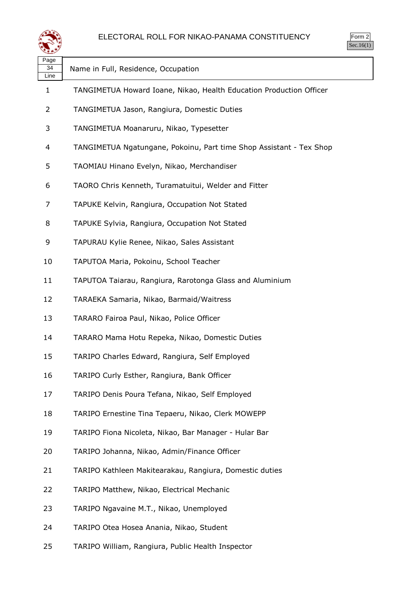

| Page<br>34<br>Line | Name in Full, Residence, Occupation                                 |
|--------------------|---------------------------------------------------------------------|
| 1                  | TANGIMETUA Howard Ioane, Nikao, Health Education Production Officer |
| $\overline{2}$     | TANGIMETUA Jason, Rangiura, Domestic Duties                         |
| 3                  | TANGIMETUA Moanaruru, Nikao, Typesetter                             |
| 4                  | TANGIMETUA Ngatungane, Pokoinu, Part time Shop Assistant - Tex Shop |
| 5                  | TAOMIAU Hinano Evelyn, Nikao, Merchandiser                          |
| 6                  | TAORO Chris Kenneth, Turamatuitui, Welder and Fitter                |
| 7                  | TAPUKE Kelvin, Rangiura, Occupation Not Stated                      |
| 8                  | TAPUKE Sylvia, Rangiura, Occupation Not Stated                      |
| 9                  | TAPURAU Kylie Renee, Nikao, Sales Assistant                         |
| 10                 | TAPUTOA Maria, Pokoinu, School Teacher                              |
| 11                 | TAPUTOA Taiarau, Rangiura, Rarotonga Glass and Aluminium            |
| 12                 | TARAEKA Samaria, Nikao, Barmaid/Waitress                            |
| 13                 | TARARO Fairoa Paul, Nikao, Police Officer                           |
| 14                 | TARARO Mama Hotu Repeka, Nikao, Domestic Duties                     |
| 15                 | TARIPO Charles Edward, Rangiura, Self Employed                      |
| 16                 | TARIPO Curly Esther, Rangiura, Bank Officer                         |
| 17                 | TARIPO Denis Poura Tefana, Nikao, Self Employed                     |
| 18                 | TARIPO Ernestine Tina Tepaeru, Nikao, Clerk MOWEPP                  |
| 19                 | TARIPO Fiona Nicoleta, Nikao, Bar Manager - Hular Bar               |
| 20                 | TARIPO Johanna, Nikao, Admin/Finance Officer                        |
| 21                 | TARIPO Kathleen Makitearakau, Rangiura, Domestic duties             |
| 22                 | TARIPO Matthew, Nikao, Electrical Mechanic                          |
| 23                 | TARIPO Ngavaine M.T., Nikao, Unemployed                             |
| 24                 | TARIPO Otea Hosea Anania, Nikao, Student                            |

TARIPO William, Rangiura, Public Health Inspector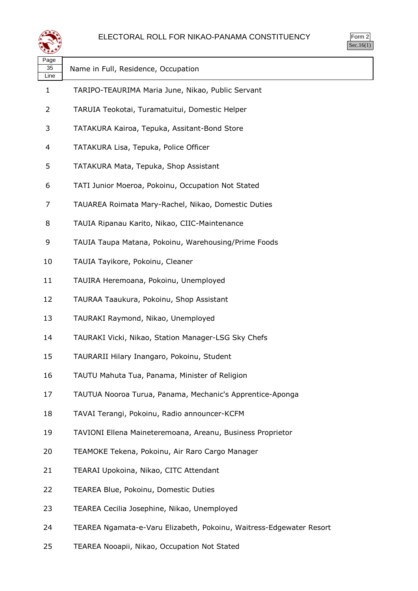



| Page<br>35<br>Line | Name in Full, Residence, Occupation                                 |
|--------------------|---------------------------------------------------------------------|
| 1                  | TARIPO-TEAURIMA Maria June, Nikao, Public Servant                   |
| 2                  | TARUIA Teokotai, Turamatuitui, Domestic Helper                      |
| 3                  | TATAKURA Kairoa, Tepuka, Assitant-Bond Store                        |
| 4                  | TATAKURA Lisa, Tepuka, Police Officer                               |
| 5                  | TATAKURA Mata, Tepuka, Shop Assistant                               |
| 6                  | TATI Junior Moeroa, Pokoinu, Occupation Not Stated                  |
| 7                  | TAUAREA Roimata Mary-Rachel, Nikao, Domestic Duties                 |
| 8                  | TAUIA Ripanau Karito, Nikao, CIIC-Maintenance                       |
| 9                  | TAUIA Taupa Matana, Pokoinu, Warehousing/Prime Foods                |
| 10                 | TAUIA Tayikore, Pokoinu, Cleaner                                    |
| 11                 | TAUIRA Heremoana, Pokoinu, Unemployed                               |
| 12                 | TAURAA Taaukura, Pokoinu, Shop Assistant                            |
| 13                 | TAURAKI Raymond, Nikao, Unemployed                                  |
| 14                 | TAURAKI Vicki, Nikao, Station Manager-LSG Sky Chefs                 |
| 15                 | TAURARII Hilary Inangaro, Pokoinu, Student                          |
| 16                 | TAUTU Mahuta Tua, Panama, Minister of Religion                      |
| 17                 | TAUTUA Nooroa Turua, Panama, Mechanic's Apprentice-Aponga           |
| 18                 | TAVAI Terangi, Pokoinu, Radio announcer-KCFM                        |
| 19                 | TAVIONI Ellena Maineteremoana, Areanu, Business Proprietor          |
| 20                 | TEAMOKE Tekena, Pokoinu, Air Raro Cargo Manager                     |
| 21                 | TEARAI Upokoina, Nikao, CITC Attendant                              |
| 22                 | TEAREA Blue, Pokoinu, Domestic Duties                               |
| 23                 | TEAREA Cecilia Josephine, Nikao, Unemployed                         |
| 24                 | TEAREA Ngamata-e-Varu Elizabeth, Pokoinu, Waitress-Edgewater Resort |

TEAREA Nooapii, Nikao, Occupation Not Stated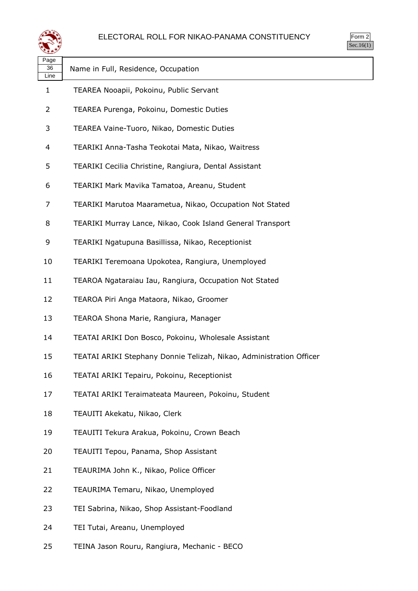

| orm<br>╭ |
|----------|
| ` 1      |

| Page<br>36<br>Line | Name in Full, Residence, Occupation                                 |
|--------------------|---------------------------------------------------------------------|
| 1                  | TEAREA Nooapii, Pokoinu, Public Servant                             |
| 2                  | TEAREA Purenga, Pokoinu, Domestic Duties                            |
| 3                  | TEAREA Vaine-Tuoro, Nikao, Domestic Duties                          |
| 4                  | TEARIKI Anna-Tasha Teokotai Mata, Nikao, Waitress                   |
| 5                  | TEARIKI Cecilia Christine, Rangiura, Dental Assistant               |
| 6                  | TEARIKI Mark Mavika Tamatoa, Areanu, Student                        |
| 7                  | TEARIKI Marutoa Maarametua, Nikao, Occupation Not Stated            |
| 8                  | TEARIKI Murray Lance, Nikao, Cook Island General Transport          |
| 9                  | TEARIKI Ngatupuna Basillissa, Nikao, Receptionist                   |
| 10                 | TEARIKI Teremoana Upokotea, Rangiura, Unemployed                    |
| 11                 | TEAROA Ngataraiau Iau, Rangiura, Occupation Not Stated              |
| 12                 | TEAROA Piri Anga Mataora, Nikao, Groomer                            |
| 13                 | TEAROA Shona Marie, Rangiura, Manager                               |
| 14                 | TEATAI ARIKI Don Bosco, Pokoinu, Wholesale Assistant                |
| 15                 | TEATAI ARIKI Stephany Donnie Telizah, Nikao, Administration Officer |
| 16                 | TEATAI ARIKI Tepairu, Pokoinu, Receptionist                         |
| 17                 | TEATAI ARIKI Teraimateata Maureen, Pokoinu, Student                 |
| 18                 | TEAUITI Akekatu, Nikao, Clerk                                       |
| 19                 | TEAUITI Tekura Arakua, Pokoinu, Crown Beach                         |
| 20                 | TEAUITI Tepou, Panama, Shop Assistant                               |
| 21                 | TEAURIMA John K., Nikao, Police Officer                             |
| 22                 | TEAURIMA Temaru, Nikao, Unemployed                                  |
| 23                 | TEI Sabrina, Nikao, Shop Assistant-Foodland                         |
| 24                 | TEI Tutai, Areanu, Unemployed                                       |
| 25                 | TEINA Jason Rouru, Rangiura, Mechanic - BECO                        |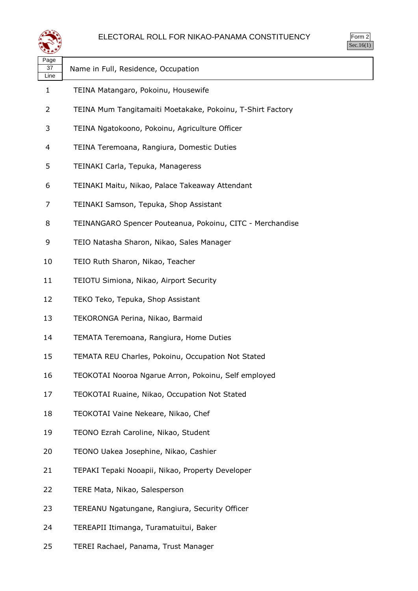

| પસ≠≯               |                                                            |
|--------------------|------------------------------------------------------------|
| Page<br>37<br>Line | Name in Full, Residence, Occupation                        |
| 1                  | TEINA Matangaro, Pokoinu, Housewife                        |
| 2                  | TEINA Mum Tangitamaiti Moetakake, Pokoinu, T-Shirt Factory |
| 3                  | TEINA Ngatokoono, Pokoinu, Agriculture Officer             |
| 4                  | TEINA Teremoana, Rangiura, Domestic Duties                 |
| 5                  | TEINAKI Carla, Tepuka, Manageress                          |
| 6                  | TEINAKI Maitu, Nikao, Palace Takeaway Attendant            |
| 7                  | TEINAKI Samson, Tepuka, Shop Assistant                     |
| 8                  | TEINANGARO Spencer Pouteanua, Pokoinu, CITC - Merchandise  |
| 9                  | TEIO Natasha Sharon, Nikao, Sales Manager                  |
| 10                 | TEIO Ruth Sharon, Nikao, Teacher                           |
| 11                 | TEIOTU Simiona, Nikao, Airport Security                    |
| 12                 | TEKO Teko, Tepuka, Shop Assistant                          |
| 13                 | TEKORONGA Perina, Nikao, Barmaid                           |
| 14                 | TEMATA Teremoana, Rangiura, Home Duties                    |
| 15                 | TEMATA REU Charles, Pokoinu, Occupation Not Stated         |
| 16                 | TEOKOTAI Nooroa Ngarue Arron, Pokoinu, Self employed       |
| 17                 | TEOKOTAI Ruaine, Nikao, Occupation Not Stated              |
| 18                 | TEOKOTAI Vaine Nekeare, Nikao, Chef                        |
| 19                 | TEONO Ezrah Caroline, Nikao, Student                       |
| 20                 | TEONO Uakea Josephine, Nikao, Cashier                      |
| 21                 | TEPAKI Tepaki Nooapii, Nikao, Property Developer           |
| 22                 | TERE Mata, Nikao, Salesperson                              |
| 23                 | TEREANU Ngatungane, Rangiura, Security Officer             |
| 24                 | TEREAPII Itimanga, Turamatuitui, Baker                     |
|                    |                                                            |

TEREI Rachael, Panama, Trust Manager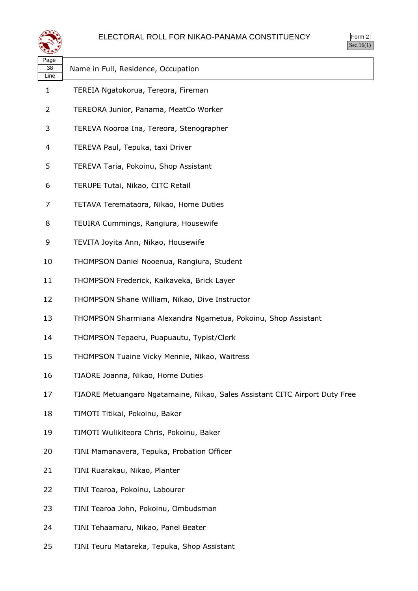| $\mathsf{m}$ |
|--------------|
| . .          |

| لتستعيثه           |                                                                             |  |
|--------------------|-----------------------------------------------------------------------------|--|
| Page<br>38<br>Line | Name in Full, Residence, Occupation                                         |  |
| 1                  | TEREIA Ngatokorua, Tereora, Fireman                                         |  |
| 2                  | TEREORA Junior, Panama, MeatCo Worker                                       |  |
| 3                  | TEREVA Nooroa Ina, Tereora, Stenographer                                    |  |
| 4                  | TEREVA Paul, Tepuka, taxi Driver                                            |  |
| 5                  | TEREVA Taria, Pokoinu, Shop Assistant                                       |  |
| 6                  | TERUPE Tutai, Nikao, CITC Retail                                            |  |
| 7                  | TETAVA Teremataora, Nikao, Home Duties                                      |  |
| 8                  | TEUIRA Cummings, Rangiura, Housewife                                        |  |
| 9                  | TEVITA Joyita Ann, Nikao, Housewife                                         |  |
| 10                 | THOMPSON Daniel Nooenua, Rangiura, Student                                  |  |
| 11                 | THOMPSON Frederick, Kaikaveka, Brick Layer                                  |  |
| 12                 | THOMPSON Shane William, Nikao, Dive Instructor                              |  |
| 13                 | THOMPSON Sharmiana Alexandra Ngametua, Pokoinu, Shop Assistant              |  |
| 14                 | THOMPSON Tepaeru, Puapuautu, Typist/Clerk                                   |  |
| 15                 | THOMPSON Tuaine Vicky Mennie, Nikao, Waitress                               |  |
| 16                 | TIAORE Joanna, Nikao, Home Duties                                           |  |
| 17                 | TIAORE Metuangaro Ngatamaine, Nikao, Sales Assistant CITC Airport Duty Free |  |
| 18                 | TIMOTI Titikai, Pokoinu, Baker                                              |  |
| 19                 | TIMOTI Wulikiteora Chris, Pokoinu, Baker                                    |  |
| 20                 | TINI Mamanavera, Tepuka, Probation Officer                                  |  |
| 21                 | TINI Ruarakau, Nikao, Planter                                               |  |
| 22                 | TINI Tearoa, Pokoinu, Labourer                                              |  |
| 23                 | TINI Tearoa John, Pokoinu, Ombudsman                                        |  |
| 24                 | TINI Tehaamaru, Nikao, Panel Beater                                         |  |

TINI Teuru Matareka, Tepuka, Shop Assistant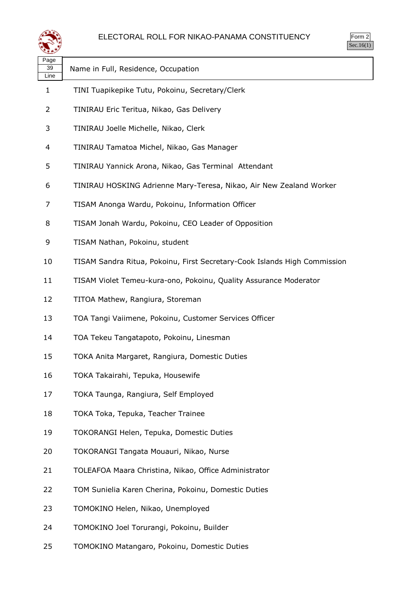



| Page<br>39<br>Line | Name in Full, Residence, Occupation                                       |
|--------------------|---------------------------------------------------------------------------|
| 1                  | TINI Tuapikepike Tutu, Pokoinu, Secretary/Clerk                           |
| 2                  | TINIRAU Eric Teritua, Nikao, Gas Delivery                                 |
| 3                  | TINIRAU Joelle Michelle, Nikao, Clerk                                     |
| 4                  | TINIRAU Tamatoa Michel, Nikao, Gas Manager                                |
| 5                  | TINIRAU Yannick Arona, Nikao, Gas Terminal Attendant                      |
| 6                  | TINIRAU HOSKING Adrienne Mary-Teresa, Nikao, Air New Zealand Worker       |
| 7                  | TISAM Anonga Wardu, Pokoinu, Information Officer                          |
| 8                  | TISAM Jonah Wardu, Pokoinu, CEO Leader of Opposition                      |
| 9                  | TISAM Nathan, Pokoinu, student                                            |
| 10                 | TISAM Sandra Ritua, Pokoinu, First Secretary-Cook Islands High Commission |
| 11                 | TISAM Violet Temeu-kura-ono, Pokoinu, Quality Assurance Moderator         |
| 12                 | TITOA Mathew, Rangiura, Storeman                                          |
| 13                 | TOA Tangi Vaiimene, Pokoinu, Customer Services Officer                    |
| 14                 | TOA Tekeu Tangatapoto, Pokoinu, Linesman                                  |
| 15                 | TOKA Anita Margaret, Rangiura, Domestic Duties                            |
| 16                 | TOKA Takairahi, Tepuka, Housewife                                         |
| 17                 | TOKA Taunga, Rangiura, Self Employed                                      |
| 18                 | TOKA Toka, Tepuka, Teacher Trainee                                        |
| 19                 | TOKORANGI Helen, Tepuka, Domestic Duties                                  |
| 20                 | TOKORANGI Tangata Mouauri, Nikao, Nurse                                   |
| 21                 | TOLEAFOA Maara Christina, Nikao, Office Administrator                     |
| 22                 | TOM Sunielia Karen Cherina, Pokoinu, Domestic Duties                      |
| 23                 | TOMOKINO Helen, Nikao, Unemployed                                         |
| 24                 | TOMOKINO Joel Torurangi, Pokoinu, Builder                                 |
| 25                 | TOMOKINO Matangaro, Pokoinu, Domestic Duties                              |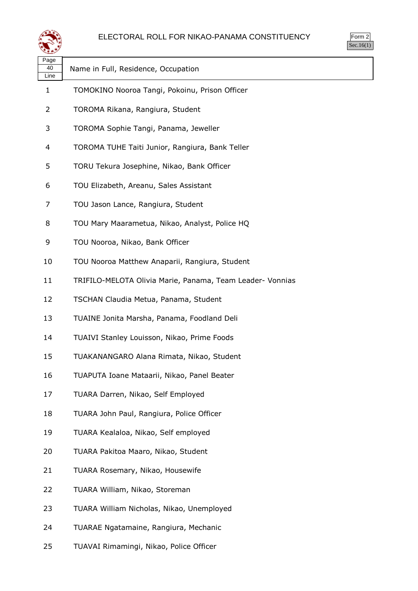



| પ∓≠У               |                                                           |
|--------------------|-----------------------------------------------------------|
| Page<br>40<br>Line | Name in Full, Residence, Occupation                       |
| $\mathbf{1}$       | TOMOKINO Nooroa Tangi, Pokoinu, Prison Officer            |
| 2                  | TOROMA Rikana, Rangiura, Student                          |
| 3                  | TOROMA Sophie Tangi, Panama, Jeweller                     |
| 4                  | TOROMA TUHE Taiti Junior, Rangiura, Bank Teller           |
| 5                  | TORU Tekura Josephine, Nikao, Bank Officer                |
| 6                  | TOU Elizabeth, Areanu, Sales Assistant                    |
| 7                  | TOU Jason Lance, Rangiura, Student                        |
| 8                  | TOU Mary Maarametua, Nikao, Analyst, Police HQ            |
| 9                  | TOU Nooroa, Nikao, Bank Officer                           |
| 10                 | TOU Nooroa Matthew Anaparii, Rangiura, Student            |
| 11                 | TRIFILO-MELOTA Olivia Marie, Panama, Team Leader- Vonnias |
| 12                 | TSCHAN Claudia Metua, Panama, Student                     |
| 13                 | TUAINE Jonita Marsha, Panama, Foodland Deli               |
| 14                 | TUAIVI Stanley Louisson, Nikao, Prime Foods               |
| 15                 | TUAKANANGARO Alana Rimata, Nikao, Student                 |
| 16                 | TUAPUTA Ioane Mataarii, Nikao, Panel Beater               |
| 17                 | TUARA Darren, Nikao, Self Employed                        |
| 18                 | TUARA John Paul, Rangiura, Police Officer                 |
| 19                 | TUARA Kealaloa, Nikao, Self employed                      |
| 20                 | TUARA Pakitoa Maaro, Nikao, Student                       |
| 21                 | TUARA Rosemary, Nikao, Housewife                          |
| 22                 | TUARA William, Nikao, Storeman                            |
| 23                 | TUARA William Nicholas, Nikao, Unemployed                 |
| 24                 | TUARAE Ngatamaine, Rangiura, Mechanic                     |
| 25                 | TUAVAI Rimamingi, Nikao, Police Officer                   |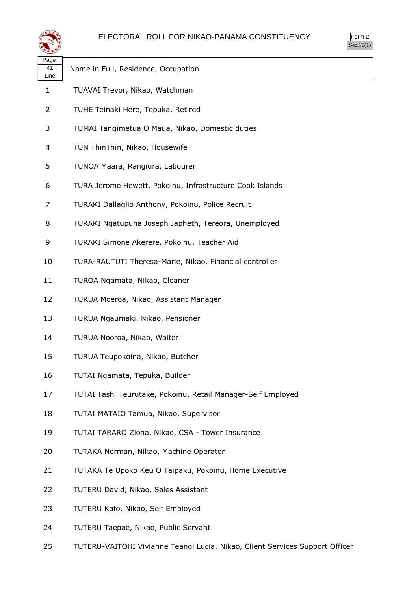

| $\mathsf{m}$ |  |
|--------------|--|
|              |  |

| لتحقيقه            |                                                              |  |
|--------------------|--------------------------------------------------------------|--|
| Page<br>41<br>Line | Name in Full, Residence, Occupation                          |  |
| 1                  | TUAVAI Trevor, Nikao, Watchman                               |  |
| 2                  | TUHE Teinaki Here, Tepuka, Retired                           |  |
| 3                  | TUMAI Tangimetua O Maua, Nikao, Domestic duties              |  |
| 4                  | TUN ThinThin, Nikao, Housewife                               |  |
| 5                  | TUNOA Maara, Rangiura, Labourer                              |  |
| 6                  | TURA Jerome Hewett, Pokoinu, Infrastructure Cook Islands     |  |
| 7                  | TURAKI Dallaglio Anthony, Pokoinu, Police Recruit            |  |
| 8                  | TURAKI Ngatupuna Joseph Japheth, Tereora, Unemployed         |  |
| 9                  | TURAKI Simone Akerere, Pokoinu, Teacher Aid                  |  |
| 10                 | TURA-RAUTUTI Theresa-Marie, Nikao, Financial controller      |  |
| 11                 | TUROA Ngamata, Nikao, Cleaner                                |  |
| 12                 | TURUA Moeroa, Nikao, Assistant Manager                       |  |
| 13                 | TURUA Ngaumaki, Nikao, Pensioner                             |  |
| 14                 | TURUA Nooroa, Nikao, Waiter                                  |  |
| 15                 | TURUA Teupokoina, Nikao, Butcher                             |  |
| 16                 | TUTAI Ngamata, Tepuka, Builder                               |  |
| 17                 | TUTAI Tashi Teurutake, Pokoinu, Retail Manager-Self Employed |  |
| 18                 | TUTAI MATAIO Tamua, Nikao, Supervisor                        |  |
| 19                 | TUTAI TARARO Ziona, Nikao, CSA - Tower Insurance             |  |
| 20                 | TUTAKA Norman, Nikao, Machine Operator                       |  |
| 21                 | TUTAKA Te Upoko Keu O Taipaku, Pokoinu, Home Executive       |  |
| 22                 | TUTERU David, Nikao, Sales Assistant                         |  |
| 23                 | TUTERU Kafo, Nikao, Self Employed                            |  |
| 24                 | TUTERU Taepae, Nikao, Public Servant                         |  |

TUTERU-VAITOHI Vivianne Teangi Lucia, Nikao, Client Services Support Officer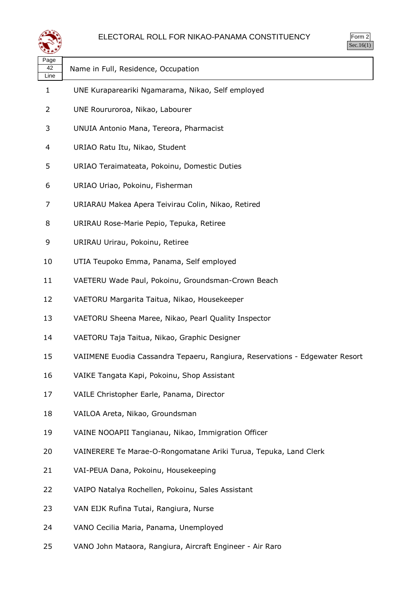

| Page<br>42<br>Line | Name in Full, Residence, Occupation                                          |
|--------------------|------------------------------------------------------------------------------|
| 1                  | UNE Kurapareariki Ngamarama, Nikao, Self employed                            |
| 2                  | UNE Roururoroa, Nikao, Labourer                                              |
| 3                  | UNUIA Antonio Mana, Tereora, Pharmacist                                      |
| 4                  | URIAO Ratu Itu, Nikao, Student                                               |
| 5                  | URIAO Teraimateata, Pokoinu, Domestic Duties                                 |
| 6                  | URIAO Uriao, Pokoinu, Fisherman                                              |
| 7                  | URIARAU Makea Apera Teivirau Colin, Nikao, Retired                           |
| 8                  | URIRAU Rose-Marie Pepio, Tepuka, Retiree                                     |
| 9                  | URIRAU Urirau, Pokoinu, Retiree                                              |
| 10                 | UTIA Teupoko Emma, Panama, Self employed                                     |
| 11                 | VAETERU Wade Paul, Pokoinu, Groundsman-Crown Beach                           |
| 12                 | VAETORU Margarita Taitua, Nikao, Housekeeper                                 |
| 13                 | VAETORU Sheena Maree, Nikao, Pearl Quality Inspector                         |
| 14                 | VAETORU Taja Taitua, Nikao, Graphic Designer                                 |
| 15                 | VAIIMENE Euodia Cassandra Tepaeru, Rangiura, Reservations - Edgewater Resort |
| 16                 | VAIKE Tangata Kapi, Pokoinu, Shop Assistant                                  |
| 17                 | VAILE Christopher Earle, Panama, Director                                    |
| 18                 | VAILOA Areta, Nikao, Groundsman                                              |
| 19                 | VAINE NOOAPII Tangianau, Nikao, Immigration Officer                          |
| 20                 | VAINERERE Te Marae-O-Rongomatane Ariki Turua, Tepuka, Land Clerk             |
| 21                 | VAI-PEUA Dana, Pokoinu, Housekeeping                                         |
| 22                 | VAIPO Natalya Rochellen, Pokoinu, Sales Assistant                            |
| 23                 | VAN EIJK Rufina Tutai, Rangiura, Nurse                                       |
| 24                 | VANO Cecilia Maria, Panama, Unemployed                                       |

VANO John Mataora, Rangiura, Aircraft Engineer - Air Raro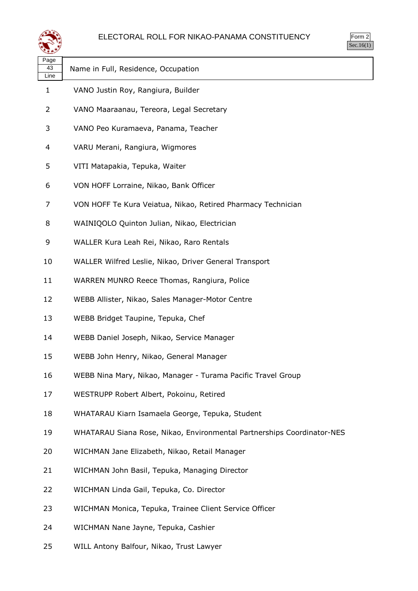

| orm<br>╯ |  |
|----------|--|
|          |  |

| ≍±≠∠               |                                                                        |
|--------------------|------------------------------------------------------------------------|
| Page<br>43<br>Line | Name in Full, Residence, Occupation                                    |
| $\mathbf{1}$       | VANO Justin Roy, Rangiura, Builder                                     |
| 2                  | VANO Maaraanau, Tereora, Legal Secretary                               |
| 3                  | VANO Peo Kuramaeva, Panama, Teacher                                    |
| 4                  | VARU Merani, Rangiura, Wigmores                                        |
| 5                  | VITI Matapakia, Tepuka, Waiter                                         |
| 6                  | VON HOFF Lorraine, Nikao, Bank Officer                                 |
| 7                  | VON HOFF Te Kura Veiatua, Nikao, Retired Pharmacy Technician           |
| 8                  | WAINIQOLO Quinton Julian, Nikao, Electrician                           |
| 9                  | WALLER Kura Leah Rei, Nikao, Raro Rentals                              |
| 10                 | WALLER Wilfred Leslie, Nikao, Driver General Transport                 |
| 11                 | WARREN MUNRO Reece Thomas, Rangiura, Police                            |
| 12                 | WEBB Allister, Nikao, Sales Manager-Motor Centre                       |
| 13                 | WEBB Bridget Taupine, Tepuka, Chef                                     |
| 14                 | WEBB Daniel Joseph, Nikao, Service Manager                             |
| 15                 | WEBB John Henry, Nikao, General Manager                                |
| 16                 | WEBB Nina Mary, Nikao, Manager - Turama Pacific Travel Group           |
| 17                 | WESTRUPP Robert Albert, Pokoinu, Retired                               |
| 18                 | WHATARAU Kiarn Isamaela George, Tepuka, Student                        |
| 19                 | WHATARAU Siana Rose, Nikao, Environmental Partnerships Coordinator-NES |
| 20                 | WICHMAN Jane Elizabeth, Nikao, Retail Manager                          |
| 21                 | WICHMAN John Basil, Tepuka, Managing Director                          |
| 22                 | WICHMAN Linda Gail, Tepuka, Co. Director                               |
| 23                 | WICHMAN Monica, Tepuka, Trainee Client Service Officer                 |
| 24                 | WICHMAN Nane Jayne, Tepuka, Cashier                                    |

WILL Antony Balfour, Nikao, Trust Lawyer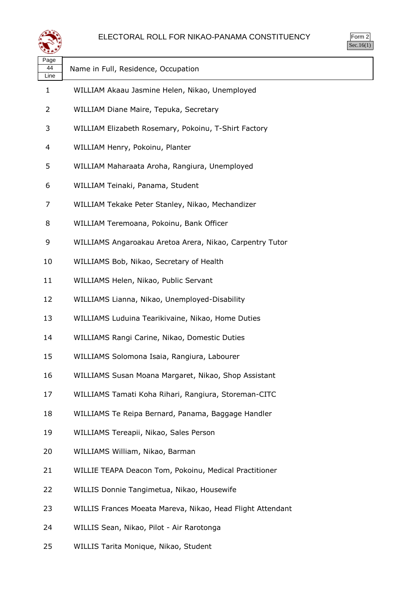

| Page<br>44<br>Line | Name in Full, Residence, Occupation                        |
|--------------------|------------------------------------------------------------|
| 1                  | WILLIAM Akaau Jasmine Helen, Nikao, Unemployed             |
| 2                  | WILLIAM Diane Maire, Tepuka, Secretary                     |
| 3                  | WILLIAM Elizabeth Rosemary, Pokoinu, T-Shirt Factory       |
| 4                  | WILLIAM Henry, Pokoinu, Planter                            |
| 5                  | WILLIAM Maharaata Aroha, Rangiura, Unemployed              |
| 6                  | WILLIAM Teinaki, Panama, Student                           |
| 7                  | WILLIAM Tekake Peter Stanley, Nikao, Mechandizer           |
| 8                  | WILLIAM Teremoana, Pokoinu, Bank Officer                   |
| 9                  | WILLIAMS Angaroakau Aretoa Arera, Nikao, Carpentry Tutor   |
| 10                 | WILLIAMS Bob, Nikao, Secretary of Health                   |
| 11                 | WILLIAMS Helen, Nikao, Public Servant                      |
| 12                 | WILLIAMS Lianna, Nikao, Unemployed-Disability              |
| 13                 | WILLIAMS Luduina Tearikivaine, Nikao, Home Duties          |
| 14                 | WILLIAMS Rangi Carine, Nikao, Domestic Duties              |
| 15                 | WILLIAMS Solomona Isaia, Rangiura, Labourer                |
| 16                 | WILLIAMS Susan Moana Margaret, Nikao, Shop Assistant       |
| 17                 | WILLIAMS Tamati Koha Rihari, Rangiura, Storeman-CITC       |
| 18                 | WILLIAMS Te Reipa Bernard, Panama, Baggage Handler         |
| 19                 | WILLIAMS Tereapii, Nikao, Sales Person                     |
| 20                 | WILLIAMS William, Nikao, Barman                            |
| 21                 | WILLIE TEAPA Deacon Tom, Pokoinu, Medical Practitioner     |
| 22                 | WILLIS Donnie Tangimetua, Nikao, Housewife                 |
| 23                 | WILLIS Frances Moeata Mareva, Nikao, Head Flight Attendant |
| 24                 | WILLIS Sean, Nikao, Pilot - Air Rarotonga                  |

WILLIS Tarita Monique, Nikao, Student